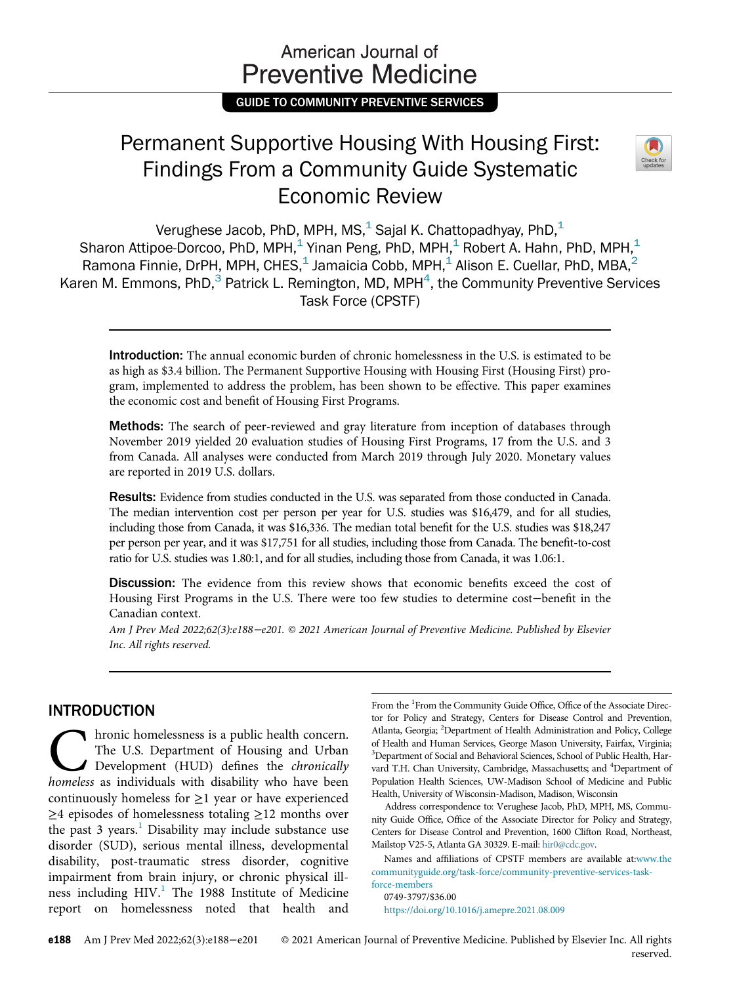# American Journal of **Preventive Medicine**

GUIDE TO COMMUNITY PREVENTIVE SERVICES

# Permanent Supportive Housing With Housing First: Findings From a Community Guide Systematic Economic Review



Verughese Jacob, PhD, MPH, MS, $<sup>1</sup>$  Sajal K. Chattopadhyay, PhD, $<sup>1</sup>$ </sup></sup> Sharon Attipoe-Dorcoo, PhD, MPH,<sup>1</sup> Yinan Peng, PhD, MPH,<sup>1</sup> Robert A. Hahn, PhD, MPH,<sup>1</sup> Ramona Finnie, DrPH, MPH, CHES, $<sup>1</sup>$  Jamaicia Cobb, MPH, $<sup>1</sup>$  Alison E. Cuellar, PhD, MBA, $<sup>2</sup>$ </sup></sup></sup> Karen M. Emmons, PhD, $^3$  Patrick L. Remington, MD, MPH $^4$ , the Community Preventive Services Task Force (CPSTF)

Introduction: The annual economic burden of chronic homelessness in the U.S. is estimated to be as high as \$3.4 billion. The Permanent Supportive Housing with Housing First (Housing First) program, implemented to address the problem, has been shown to be effective. This paper examines the economic cost and benefit of Housing First Programs.

Methods: The search of peer-reviewed and gray literature from inception of databases through November 2019 yielded 20 evaluation studies of Housing First Programs, 17 from the U.S. and 3 from Canada. All analyses were conducted from March 2019 through July 2020. Monetary values are reported in 2019 U.S. dollars.

Results: Evidence from studies conducted in the U.S. was separated from those conducted in Canada. The median intervention cost per person per year for U.S. studies was \$16,479, and for all studies, including those from Canada, it was \$16,336. The median total benefit for the U.S. studies was \$18,247 per person per year, and it was \$17,751 for all studies, including those from Canada. The benefit-to-cost ratio for U.S. studies was 1.80:1, and for all studies, including those from Canada, it was 1.06:1.

Discussion: The evidence from this review shows that economic benefits exceed the cost of Housing First Programs in the U.S. There were too few studies to determine cost−benefit in the Canadian context.

Am J Prev Med 2022;62(3):e188−e201. © 2021 American Journal of Preventive Medicine. Published by Elsevier Inc. All rights reserved.

# INTRODUCTION

The U.S. Department of Housing and Urban<br>Development (HUD) defines the *chronically*<br>homeless as individuals with disability who have been The U.S. Department of Housing and Urban Development (HUD) defines the chronically homeless as individuals with disability who have been continuously homeless for  $\geq$ 1 year or have experienced ≥4 episodes of homelessness totaling ≥12 months over the past 3 years.<sup>[1](#page-10-0)</sup> Disability may include substance use disorder (SUD), serious mental illness, developmental disability, post-traumatic stress disorder, cognitive impairment from brain injury, or chronic physical illness including  $HIV<sup>1</sup>$  $HIV<sup>1</sup>$  $HIV<sup>1</sup>$ . The 1988 Institute of Medicine report on homelessness noted that health and

From the <sup>1</sup>From the Community Guide Office, Office of the Associate Director for Policy and Strategy, Centers for Disease Control and Prevention, Atlanta, Georgia; <sup>2</sup>Department of Health Administration and Policy, College of Health and Human Services, George Mason University, Fairfax, Virginia; <sup>3</sup>Department of Social and Behavioral Sciences, School of Public Health, Harvard T.H. Chan University, Cambridge, Massachusetts; and <sup>4</sup>Department of Population Health Sciences, UW-Madison School of Medicine and Public Health, University of Wisconsin-Madison, Madison, Wisconsin

Address correspondence to: Verughese Jacob, PhD, MPH, MS, Community Guide Office, Office of the Associate Director for Policy and Strategy, Centers for Disease Control and Prevention, 1600 Clifton Road, Northeast, Mailstop V25-5, Atlanta GA 30329. E-mail: [hir0@cdc.gov](mailto:hir0@cdc.gov).

Names and affiliations of CPSTF members are available at[:www.the](http://www.thecommunityguide.org/task-force/community-preventive-services-task-force-members) [communityguide.org/task-force/community-preventive-services-task](http://www.thecommunityguide.org/task-force/community-preventive-services-task-force-members)[force-members](http://www.thecommunityguide.org/task-force/community-preventive-services-task-force-members)

0749-3797/\$36.00 <https://doi.org/10.1016/j.amepre.2021.08.009>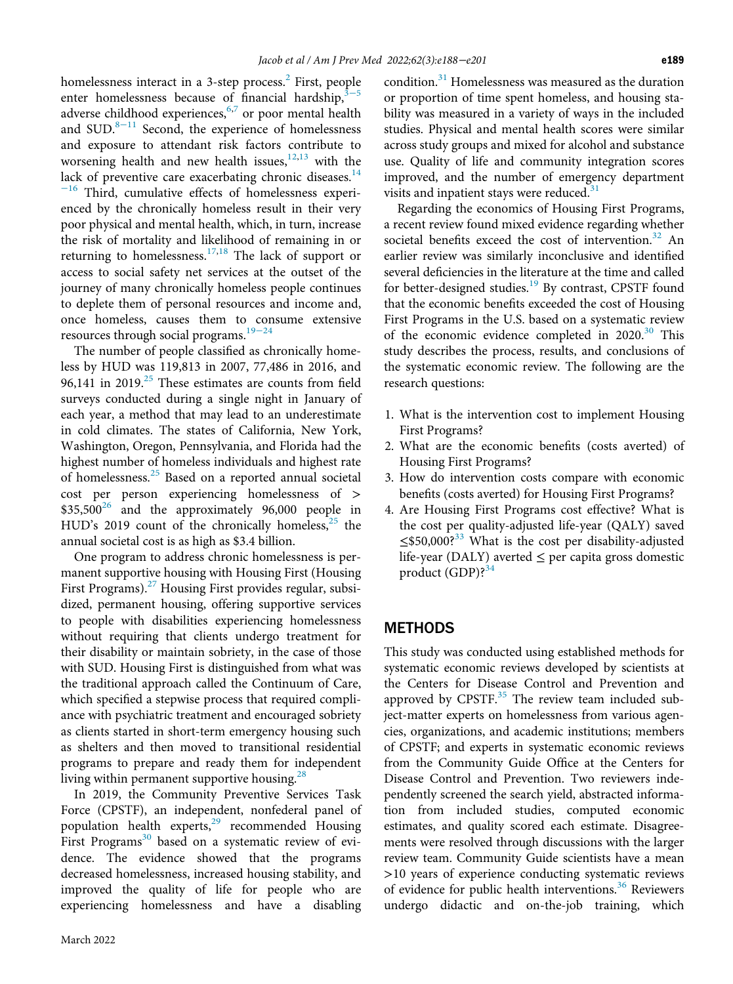homelessness interact in a 3-step process. $<sup>2</sup>$  $<sup>2</sup>$  $<sup>2</sup>$  First, people</sup> enter homelessness because of financial hardship, $3-5$ adverse childhood experiences,<sup>[6,](#page-10-3)[7](#page-10-4)</sup> or poor mental health and SUD. $8-11$  $8-11$  Second, the experience of homelessness and exposure to attendant risk factors contribute to worsening health and new health issues, $12,13$  $12,13$  with the lack of preventive care exacerbating chronic diseases. $14$ <sup>−</sup>[16](#page-11-3) Third, cumulative effects of homelessness experienced by the chronically homeless result in their very poor physical and mental health, which, in turn, increase the risk of mortality and likelihood of remaining in or returning to homelessness.<sup>[17](#page-11-4),[18](#page-11-5)</sup> The lack of support or access to social safety net services at the outset of the journey of many chronically homeless people continues to deplete them of personal resources and income and, once homeless, causes them to consume extensive resources through social programs.<sup>[19](#page-11-6)−24</sup>

The number of people classified as chronically homeless by HUD was 119,813 in 2007, 77,486 in 2016, and 96,141 in 2019.<sup>[25](#page-11-7)</sup> These estimates are counts from field surveys conducted during a single night in January of each year, a method that may lead to an underestimate in cold climates. The states of California, New York, Washington, Oregon, Pennsylvania, and Florida had the highest number of homeless individuals and highest rate of homelessness.<sup>[25](#page-11-7)</sup> Based on a reported annual societal cost per person experiencing homelessness of >  $$35,500^{26}$  and the approximately 96,000 people in HUD's 2019 count of the chronically homeless, $^{25}$  $^{25}$  $^{25}$  the annual societal cost is as high as \$3.4 billion.

One program to address chronic homelessness is permanent supportive housing with Housing First (Housing First Programs). $^{27}$  $^{27}$  $^{27}$  Housing First provides regular, subsidized, permanent housing, offering supportive services to people with disabilities experiencing homelessness without requiring that clients undergo treatment for their disability or maintain sobriety, in the case of those with SUD. Housing First is distinguished from what was the traditional approach called the Continuum of Care, which specified a stepwise process that required compliance with psychiatric treatment and encouraged sobriety as clients started in short-term emergency housing such as shelters and then moved to transitional residential programs to prepare and ready them for independent living within permanent supportive housing. $^{28}$  $^{28}$  $^{28}$ 

In 2019, the Community Preventive Services Task Force (CPSTF), an independent, nonfederal panel of population health experts,<sup>[29](#page-11-11)</sup> recommended Housing First Programs<sup>[30](#page-11-12)</sup> based on a systematic review of evidence. The evidence showed that the programs decreased homelessness, increased housing stability, and improved the quality of life for people who are experiencing homelessness and have a disabling condition.<sup>[31](#page-11-13)</sup> Homelessness was measured as the duration or proportion of time spent homeless, and housing stability was measured in a variety of ways in the included studies. Physical and mental health scores were similar across study groups and mixed for alcohol and substance use. Quality of life and community integration scores improved, and the number of emergency department visits and inpatient stays were reduced. $31$ 

Regarding the economics of Housing First Programs, a recent review found mixed evidence regarding whether societal benefits exceed the cost of intervention.<sup>[32](#page-11-14)</sup> An earlier review was similarly inconclusive and identified several deficiencies in the literature at the time and called for better-designed studies.<sup>[19](#page-11-6)</sup> By contrast, CPSTF found that the economic benefits exceeded the cost of Housing First Programs in the U.S. based on a systematic review of the economic evidence completed in  $2020$ .<sup>[30](#page-11-12)</sup> This study describes the process, results, and conclusions of the systematic economic review. The following are the research questions:

- 1. What is the intervention cost to implement Housing First Programs?
- 2. What are the economic benefits (costs averted) of Housing First Programs?
- 3. How do intervention costs compare with economic benefits (costs averted) for Housing First Programs?
- 4. Are Housing First Programs cost effective? What is the cost per quality-adjusted life-year (QALY) saved ≤\$50,000?<sup>[33](#page-11-15)</sup> What is the cost per disability-adjusted life-year (DALY) averted  $\leq$  per capita gross domestic product  $(GDP)$ ?<sup>[34](#page-11-16)</sup>

### **METHODS**

This study was conducted using established methods for systematic economic reviews developed by scientists at the Centers for Disease Control and Prevention and approved by  $CPSTF<sup>35</sup>$  $CPSTF<sup>35</sup>$  $CPSTF<sup>35</sup>$  The review team included subject-matter experts on homelessness from various agencies, organizations, and academic institutions; members of CPSTF; and experts in systematic economic reviews from the Community Guide Office at the Centers for Disease Control and Prevention. Two reviewers independently screened the search yield, abstracted information from included studies, computed economic estimates, and quality scored each estimate. Disagreements were resolved through discussions with the larger review team. Community Guide scientists have a mean >10 years of experience conducting systematic reviews of evidence for public health interventions.<sup>[36](#page-11-18)</sup> Reviewers undergo didactic and on-the-job training, which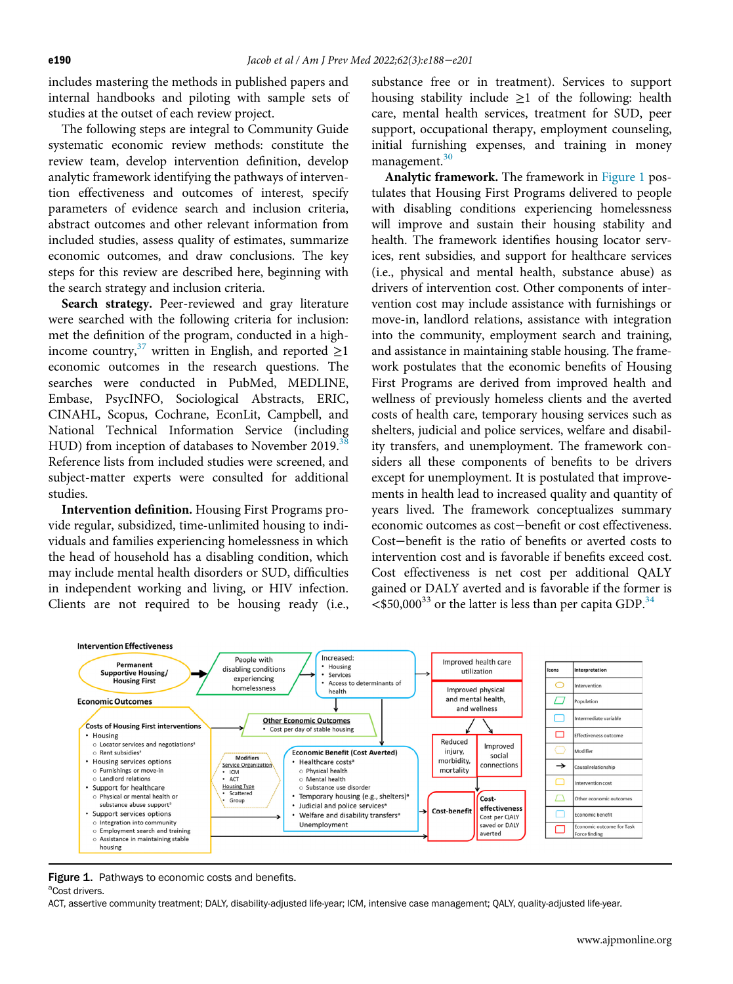includes mastering the methods in published papers and internal handbooks and piloting with sample sets of studies at the outset of each review project.

The following steps are integral to Community Guide systematic economic review methods: constitute the review team, develop intervention definition, develop analytic framework identifying the pathways of intervention effectiveness and outcomes of interest, specify parameters of evidence search and inclusion criteria, abstract outcomes and other relevant information from included studies, assess quality of estimates, summarize economic outcomes, and draw conclusions. The key steps for this review are described here, beginning with the search strategy and inclusion criteria.

Search strategy. Peer-reviewed and gray literature were searched with the following criteria for inclusion: met the definition of the program, conducted in a high-income country,<sup>[37](#page-11-19)</sup> written in English, and reported  $\geq$ 1 economic outcomes in the research questions. The searches were conducted in PubMed, MEDLINE, Embase, PsycINFO, Sociological Abstracts, ERIC, CINAHL, Scopus, Cochrane, EconLit, Campbell, and National Technical Information Service (including HUD) from inception of databases to November 2019.<sup>3</sup> Reference lists from included studies were screened, and subject-matter experts were consulted for additional studies.

Intervention definition. Housing First Programs provide regular, subsidized, time-unlimited housing to individuals and families experiencing homelessness in which the head of household has a disabling condition, which may include mental health disorders or SUD, difficulties in independent working and living, or HIV infection. Clients are not required to be housing ready (i.e.,

substance free or in treatment). Services to support housing stability include  $\geq 1$  of the following: health care, mental health services, treatment for SUD, peer support, occupational therapy, employment counseling, initial furnishing expenses, and training in money management.<sup>[30](#page-11-12)</sup>

Analytic framework. The framework in [Figure 1](#page-2-0) postulates that Housing First Programs delivered to people with disabling conditions experiencing homelessness will improve and sustain their housing stability and health. The framework identifies housing locator services, rent subsidies, and support for healthcare services (i.e., physical and mental health, substance abuse) as drivers of intervention cost. Other components of intervention cost may include assistance with furnishings or move-in, landlord relations, assistance with integration into the community, employment search and training, and assistance in maintaining stable housing. The framework postulates that the economic benefits of Housing First Programs are derived from improved health and wellness of previously homeless clients and the averted costs of health care, temporary housing services such as shelters, judicial and police services, welfare and disability transfers, and unemployment. The framework considers all these components of benefits to be drivers except for unemployment. It is postulated that improvements in health lead to increased quality and quantity of years lived. The framework conceptualizes summary economic outcomes as cost−benefit or cost effectiveness. Cost−benefit is the ratio of benefits or averted costs to intervention cost and is favorable if benefits exceed cost. Cost effectiveness is net cost per additional QALY gained or DALY averted and is favorable if the former is  $\langle$  \$50,000<sup>33</sup> or the latter is less than per capita GDP.<sup>34</sup>

<span id="page-2-0"></span>

Figure 1. Pathways to economic costs and benefits. <sup>a</sup>Cost drivers.

ACT, assertive community treatment; DALY, disability-adjusted life-year; ICM, intensive case management; QALY, quality-adjusted life-year.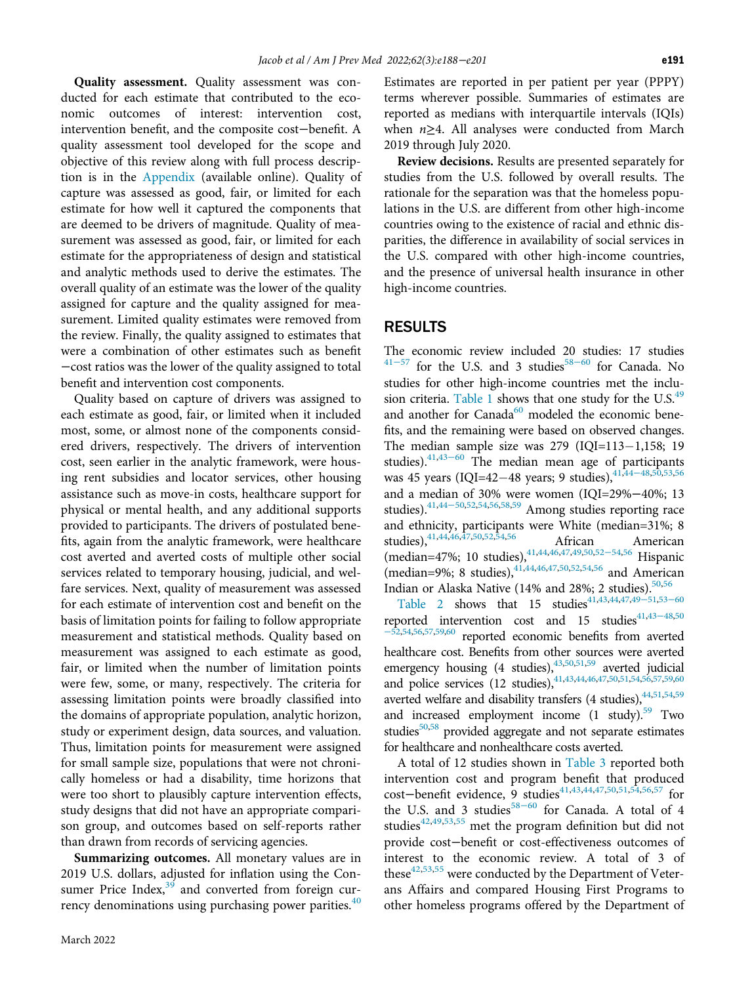Quality assessment. Quality assessment was conducted for each estimate that contributed to the economic outcomes of interest: intervention cost, intervention benefit, and the composite cost−benefit. A quality assessment tool developed for the scope and objective of this review along with full process description is in the [Appendix](#page-10-5) (available online). Quality of capture was assessed as good, fair, or limited for each estimate for how well it captured the components that are deemed to be drivers of magnitude. Quality of measurement was assessed as good, fair, or limited for each estimate for the appropriateness of design and statistical and analytic methods used to derive the estimates. The overall quality of an estimate was the lower of the quality assigned for capture and the quality assigned for measurement. Limited quality estimates were removed from the review. Finally, the quality assigned to estimates that were a combination of other estimates such as benefit −cost ratios was the lower of the quality assigned to total benefit and intervention cost components.

Quality based on capture of drivers was assigned to each estimate as good, fair, or limited when it included most, some, or almost none of the components considered drivers, respectively. The drivers of intervention cost, seen earlier in the analytic framework, were housing rent subsidies and locator services, other housing assistance such as move-in costs, healthcare support for physical or mental health, and any additional supports provided to participants. The drivers of postulated benefits, again from the analytic framework, were healthcare cost averted and averted costs of multiple other social services related to temporary housing, judicial, and welfare services. Next, quality of measurement was assessed for each estimate of intervention cost and benefit on the basis of limitation points for failing to follow appropriate measurement and statistical methods. Quality based on measurement was assigned to each estimate as good, fair, or limited when the number of limitation points were few, some, or many, respectively. The criteria for assessing limitation points were broadly classified into the domains of appropriate population, analytic horizon, study or experiment design, data sources, and valuation. Thus, limitation points for measurement were assigned for small sample size, populations that were not chronically homeless or had a disability, time horizons that were too short to plausibly capture intervention effects, study designs that did not have an appropriate comparison group, and outcomes based on self-reports rather than drawn from records of servicing agencies.

Summarizing outcomes. All monetary values are in 2019 U.S. dollars, adjusted for inflation using the Consumer Price Index, $39$  and converted from foreign currency denominations using purchasing power parities. $40$  Estimates are reported in per patient per year (PPPY) terms wherever possible. Summaries of estimates are reported as medians with interquartile intervals (IQIs) when n≥4. All analyses were conducted from March 2019 through July 2020.

Review decisions. Results are presented separately for studies from the U.S. followed by overall results. The rationale for the separation was that the homeless populations in the U.S. are different from other high-income countries owing to the existence of racial and ethnic disparities, the difference in availability of social services in the U.S. compared with other high-income countries, and the presence of universal health insurance in other high-income countries.

#### RESULTS

The economic review included 20 studies: 17 studies  $41-57$  $41-57$  for the U.S. and 3 studies<sup>[58](#page-12-3)-60</sup> for Canada. No studies for other high-income countries met the inclu-sion criteria. [Table 1](#page-4-0) shows that one study for the U.S. $49$ and another for Canada<sup>60</sup> modeled the economic benefits, and the remaining were based on observed changes. The medi[an sa](#page-12-6)mple size was  $279$  (IQI=113-1,158; 19 studies).[41](#page-12-2),43<sup>−</sup><sup>60</sup> The median mean age of participants was 45 years (IQI=42-48 years; 9 studies),<sup>[41,](#page-12-2)[44](#page-12-7)-48,[50,](#page-12-8)[53,](#page-12-9)[56](#page-12-10)</sup> and a median of 30% were women (IQI=29%−40%; 13 studies).[41](#page-12-2),[44](#page-12-7)<sup>−</sup>50,[52](#page-12-11),[54](#page-12-12),[56,](#page-12-10)[58,](#page-12-3)[59](#page-12-13) Among studies reporting race and ethnicity, participants were White (median=31%; 8 studies), <sup>[41](#page-12-2),[44](#page-12-7),[46,](#page-12-14)[47,](#page-12-15)[50,](#page-12-8)[52](#page-12-11)[,54](#page-12-12)[,56](#page-12-10)</sup> African American (median=47%; 10 studies),<sup>41[,44](#page-12-7)[,46](#page-12-14),[47](#page-12-15),[49](#page-12-4),[50](#page-12-8),[52](#page-12-11)–54,[56](#page-12-10)</sup> Hispanic (median=9%; 8 studies), $41,44,46,47,50,52,54,56$  $41,44,46,47,50,52,54,56$  $41,44,46,47,50,52,54,56$  $41,44,46,47,50,52,54,56$  $41,44,46,47,50,52,54,56$  $41,44,46,47,50,52,54,56$  $41,44,46,47,50,52,54,56$  $41,44,46,47,50,52,54,56$  $41,44,46,47,50,52,54,56$  $41,44,46,47,50,52,54,56$  $41,44,46,47,50,52,54,56$  $41,44,46,47,50,52,54,56$  $41,44,46,47,50,52,54,56$  and American Indian or Alaska Native (14% and 28%; 2 studies). $50,56$  $50,56$ 

[Table 2](#page-6-0) shows that 15 studies<sup>[41](#page-12-2)[,43,](#page-12-6)[44](#page-12-7),[47](#page-12-15)[,49](#page-12-4)–51,53–[60](#page-12-9)</sup> reported intervention cost and 15 studies $41,43-48,50$  $41,43-48,50$  $41,43-48,50$  $41,43-48,50$ <sup>−</sup>[52](#page-12-8)[,54](#page-12-12)[,56](#page-12-10)[,57,](#page-12-16)[59](#page-12-13),[60](#page-12-5) reported economic benefits from averted healthcare cost. Benefits from other sources were averted emergency housing  $(4 \text{ studies})$ ,  $4^{3,50,51,59}$  $4^{3,50,51,59}$  $4^{3,50,51,59}$  $4^{3,50,51,59}$  $4^{3,50,51,59}$  averted judicial and police services (12 studies),  $41,43,44,46,47,50,51,54,56,57,59,60$  $41,43,44,46,47,50,51,54,56,57,59,60$  $41,43,44,46,47,50,51,54,56,57,59,60$  $41,43,44,46,47,50,51,54,56,57,59,60$  $41,43,44,46,47,50,51,54,56,57,59,60$  $41,43,44,46,47,50,51,54,56,57,59,60$  $41,43,44,46,47,50,51,54,56,57,59,60$  $41,43,44,46,47,50,51,54,56,57,59,60$  $41,43,44,46,47,50,51,54,56,57,59,60$  $41,43,44,46,47,50,51,54,56,57,59,60$  $41,43,44,46,47,50,51,54,56,57,59,60$  $41,43,44,46,47,50,51,54,56,57,59,60$  $41,43,44,46,47,50,51,54,56,57,59,60$  $41,43,44,46,47,50,51,54,56,57,59,60$  $41,43,44,46,47,50,51,54,56,57,59,60$  $41,43,44,46,47,50,51,54,56,57,59,60$ averted welfare and disability transfers (4 studies),  $44,51,54,59$  $44,51,54,59$  $44,51,54,59$  $44,51,54,59$  $44,51,54,59$ and increased employment income  $(1 \text{ study})$ .<sup>59</sup> Two studies<sup>50[,58](#page-12-3)</sup> provided aggregate and not separate estimates for healthcare and nonhealthcare costs averted.

A total of 12 studies shown in [Table 3](#page-8-0) reported both intervention cost and program benefit that produced cost−benefit evidence, [9 stu](#page-12-3)dies<sup>[41,](#page-12-2)[43](#page-12-6)[,44](#page-12-7),[47](#page-12-15),[50](#page-12-8)[,51](#page-12-17)[,54,](#page-12-12)[56](#page-12-10),[57](#page-12-16)</sup> for the U.S. and 3 studies<sup>58-60</sup> for Canada. A total of 4 studies $42,49,53,55$  $42,49,53,55$  $42,49,53,55$  $42,49,53,55$  $42,49,53,55$  met the program definition but did not provide cost−benefit or cost-effectiveness outcomes of interest to the economic review. A total of 3 of these $42,53,55$  $42,53,55$  $42,53,55$  were conducted by the Department of Veterans Affairs and compared Housing First Programs to other homeless programs offered by the Department of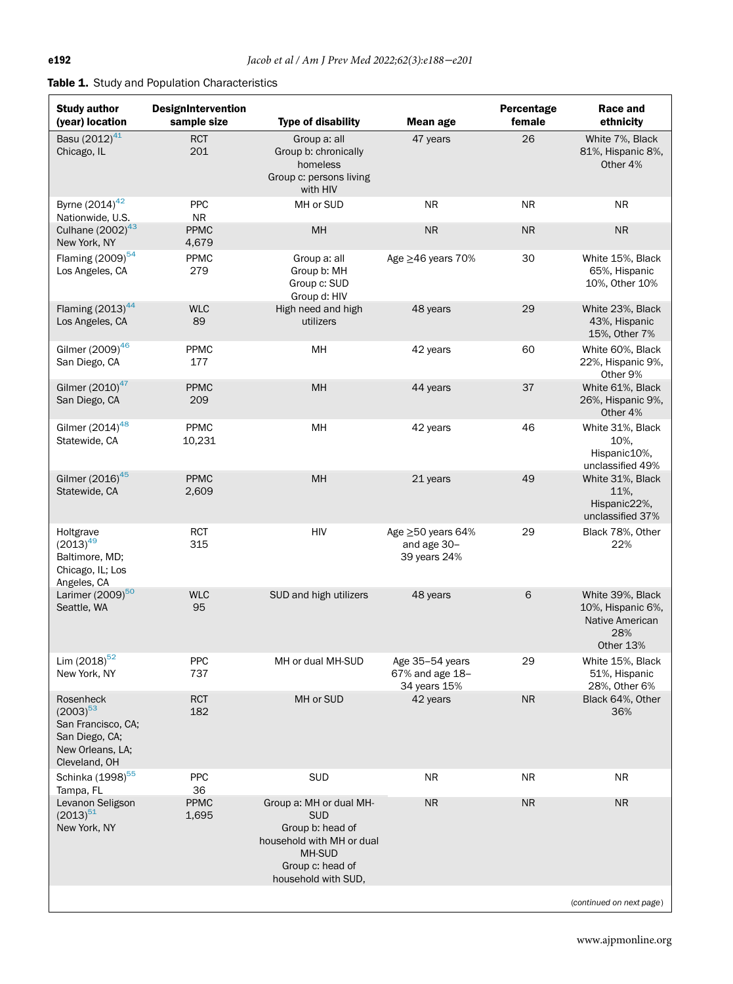# <span id="page-4-0"></span>Table 1. Study and Population Characteristics

| <b>Study author</b><br>(year) location                                                                  | <b>DesignIntervention</b><br>sample size | <b>Type of disability</b>                                                                                                                   | <b>Mean age</b>                                    | Percentage<br>female | Race and<br>ethnicity                                                        |
|---------------------------------------------------------------------------------------------------------|------------------------------------------|---------------------------------------------------------------------------------------------------------------------------------------------|----------------------------------------------------|----------------------|------------------------------------------------------------------------------|
| Basu (2012) <sup>41</sup><br>Chicago, IL                                                                | <b>RCT</b><br>201                        | Group a: all<br>Group b: chronically<br>homeless<br>Group c: persons living<br>with HIV                                                     | 47 years                                           | 26                   | White 7%, Black<br>81%, Hispanic 8%,<br>Other 4%                             |
| Byrne (2014) <sup>42</sup><br>Nationwide, U.S.                                                          | <b>PPC</b><br><b>NR</b>                  | MH or SUD                                                                                                                                   | <b>NR</b>                                          | NR                   | NR.                                                                          |
| Culhane $(2002)^{43}$<br>New York, NY                                                                   | <b>PPMC</b><br>4,679                     | MH                                                                                                                                          | <b>NR</b>                                          | <b>NR</b>            | <b>NR</b>                                                                    |
| Flaming (2009) <sup>54</sup><br>Los Angeles, CA                                                         | PPMC<br>279                              | Group a: all<br>Group b: MH<br>Group c: SUD<br>Group d: HIV                                                                                 | Age ≥46 years 70%                                  | 30                   | White 15%, Black<br>65%, Hispanic<br>10%, Other 10%                          |
| Flaming $(2013)^{44}$<br>Los Angeles, CA                                                                | <b>WLC</b><br>89                         | High need and high<br>utilizers                                                                                                             | 48 years                                           | 29                   | White 23%, Black<br>43%, Hispanic<br>15%, Other 7%                           |
| Gilmer (2009) <sup>46</sup><br>San Diego, CA                                                            | PPMC<br>177                              | MH                                                                                                                                          | 42 years                                           | 60                   | White 60%, Black<br>22%, Hispanic 9%,<br>Other 9%                            |
| Gilmer (2010) <sup>47</sup><br>San Diego, CA                                                            | <b>PPMC</b><br>209                       | MH                                                                                                                                          | 44 years                                           | 37                   | White 61%, Black<br>26%, Hispanic 9%,<br>Other 4%                            |
| Gilmer $(2014)^{48}$<br>Statewide, CA                                                                   | PPMC<br>10,231                           | MH                                                                                                                                          | 42 years                                           | 46                   | White 31%, Black<br>10%,<br>Hispanic10%,<br>unclassified 49%                 |
| Gilmer (2016) <sup>45</sup><br>Statewide, CA                                                            | <b>PPMC</b><br>2,609                     | MH                                                                                                                                          | 21 years                                           | 49                   | White 31%, Black<br>11%,<br>Hispanic22%,<br>unclassified 37%                 |
| Holtgrave<br>$(2013)^{49}$<br>Baltimore, MD;<br>Chicago, IL; Los<br>Angeles, CA                         | <b>RCT</b><br>315                        | <b>HIV</b>                                                                                                                                  | Age ≥50 years 64%<br>and age 30-<br>39 years 24%   | 29                   | Black 78%, Other<br>22%                                                      |
| Larimer (2009) <sup>50</sup><br>Seattle, WA                                                             | <b>WLC</b><br>95                         | SUD and high utilizers                                                                                                                      | 48 years                                           | 6                    | White 39%, Black<br>10%, Hispanic 6%,<br>Native American<br>28%<br>Other 13% |
| Lim $(2018)^{52}$<br>New York, NY                                                                       | PPC<br>737                               | MH or dual MH-SUD                                                                                                                           | Age 35-54 years<br>67% and age 18-<br>34 years 15% | 29                   | White 15%, Black<br>51%, Hispanic<br>28%, Other 6%                           |
| Rosenheck<br>$(2003)^{53}$<br>San Francisco, CA;<br>San Diego, CA;<br>New Orleans, LA;<br>Cleveland, OH | <b>RCT</b><br>182                        | MH or SUD                                                                                                                                   | 42 years                                           | <b>NR</b>            | Black 64%, Other<br>36%                                                      |
| Schinka (1998) <sup>55</sup><br>Tampa, FL                                                               | <b>PPC</b><br>36                         | <b>SUD</b>                                                                                                                                  | ΝR                                                 | NR                   | NR.                                                                          |
| Levanon Seligson<br>$(2013)^{51}$<br>New York, NY                                                       | <b>PPMC</b><br>1,695                     | Group a: MH or dual MH-<br><b>SUD</b><br>Group b: head of<br>household with MH or dual<br>MH-SUD<br>Group c: head of<br>household with SUD, | <b>NR</b>                                          | <b>NR</b>            | <b>NR</b>                                                                    |
|                                                                                                         |                                          |                                                                                                                                             |                                                    |                      | (continued on next page)                                                     |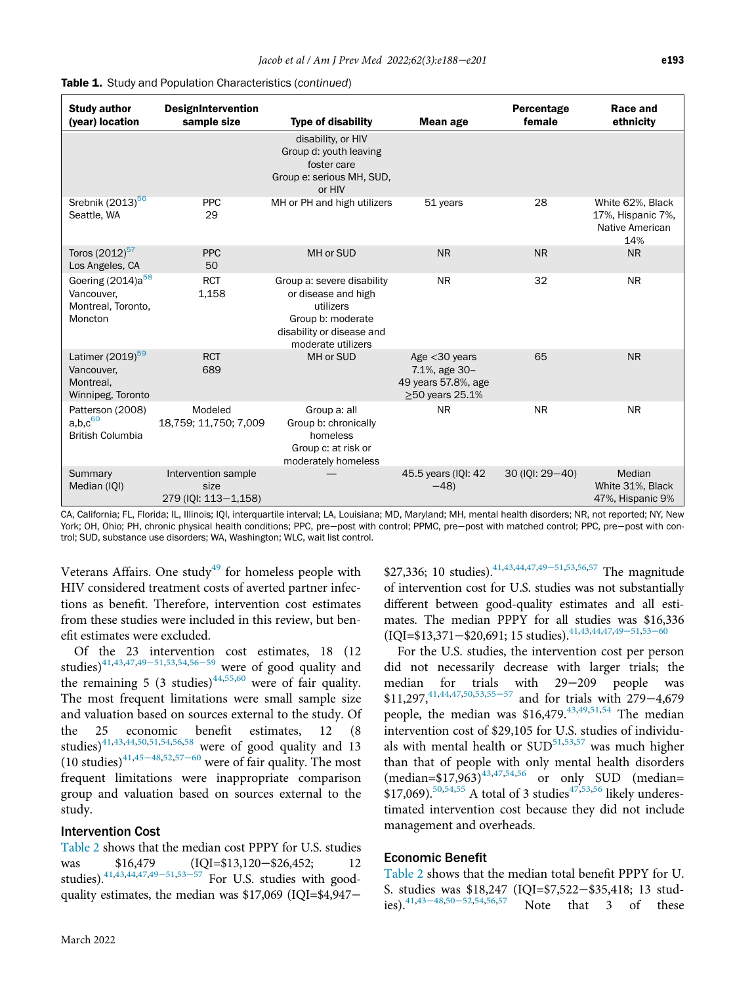| <b>Study author</b><br>(year) location                                       | <b>DesignIntervention</b><br>sample size            | <b>Type of disability</b>                                                                                                              | Mean age                                                                          | Percentage<br>female | Race and<br>ethnicity                                           |
|------------------------------------------------------------------------------|-----------------------------------------------------|----------------------------------------------------------------------------------------------------------------------------------------|-----------------------------------------------------------------------------------|----------------------|-----------------------------------------------------------------|
|                                                                              |                                                     | disability, or HIV<br>Group d: youth leaving<br>foster care<br>Group e: serious MH, SUD,<br>or HIV                                     |                                                                                   |                      |                                                                 |
| Srebnik (2013) <sup>56</sup><br>Seattle, WA                                  | <b>PPC</b><br>29                                    | MH or PH and high utilizers                                                                                                            | 51 years                                                                          | 28                   | White 62%, Black<br>17%, Hispanic 7%,<br>Native American<br>14% |
| Toros (2012) <sup>57</sup><br>Los Angeles, CA                                | <b>PPC</b><br>50                                    | MH or SUD                                                                                                                              | <b>NR</b>                                                                         | <b>NR</b>            | <b>NR</b>                                                       |
| Goering (2014)a <sup>58</sup><br>Vancouver,<br>Montreal, Toronto,<br>Moncton | <b>RCT</b><br>1,158                                 | Group a: severe disability<br>or disease and high<br>utilizers<br>Group b: moderate<br>disability or disease and<br>moderate utilizers | <b>NR</b>                                                                         | 32                   | <b>NR</b>                                                       |
| Latimer (2019) <sup>59</sup><br>Vancouver,<br>Montreal,<br>Winnipeg, Toronto | <b>RCT</b><br>689                                   | MH or SUD                                                                                                                              | Age $<$ 30 years<br>7.1%, age 30-<br>49 years 57.8%, age<br>$\geq$ 50 years 25.1% | 65                   | <b>NR</b>                                                       |
| Patterson (2008)<br>a,b,c <sup>60</sup><br><b>British Columbia</b>           | Modeled<br>18,759; 11,750; 7,009                    | Group a: all<br>Group b: chronically<br>homeless<br>Group c: at risk or<br>moderately homeless                                         | NR.                                                                               | <b>NR</b>            | <b>NR</b>                                                       |
| Summary<br>Median (IQI)                                                      | Intervention sample<br>size<br>279 (IQI: 113-1,158) |                                                                                                                                        | 45.5 years (IQI: 42<br>$-48$                                                      | 30 (IQI: 29-40)      | Median<br>White 31%, Black<br>47%, Hispanic 9%                  |

|  |  |  | Table 1. Study and Population Characteristics (continued) |  |
|--|--|--|-----------------------------------------------------------|--|
|--|--|--|-----------------------------------------------------------|--|

CA, California; FL, Florida; IL, Illinois; IQI, interquartile interval; LA, Louisiana; MD, Maryland; MH, mental health disorders; NR, not reported; NY, New York; OH, Ohio; PH, chronic physical health conditions; PPC, pre−post with control; PPMC, pre−post with matched control; PPC, pre−post with control; SUD, substance use disorders; WA, Washington; WLC, wait list control.

Veterans Affairs. One study $49$  for homeless people with HIV considered treatment costs of averted partner infections as benefit. Therefore, intervention cost estimates from these studies were included in this review, but benefit estimates were excluded.

Of the 23 intervention cost estimates, 18 (12 studies)<sup>[41](#page-12-2)[,43,](#page-12-6)[47](#page-12-15),49-[51](#page-12-4)[,53,](#page-12-9)[54](#page-12-12),56-[59](#page-12-10)</sup> were of good quality and the remaining 5 (3 studies)<sup>[44,](#page-12-7)[55](#page-12-19),[60](#page-12-5)</sup> were of fair quality. The most frequent limitations were small sample size and valuation based on sources external to the study. Of the 25 economic benefit estimates, 12 (8 studies) $41,43,44,50,51,54,56,58$  $41,43,44,50,51,54,56,58$  $41,43,44,50,51,54,56,58$  $41,43,44,50,51,54,56,58$  $41,43,44,50,51,54,56,58$  $41,43,44,50,51,54,56,58$  $41,43,44,50,51,54,56,58$  $41,43,44,50,51,54,56,58$  $41,43,44,50,51,54,56,58$  $41,43,44,50,51,54,56,58$  were of good quality and 13 (10 studies)<sup>[41,](#page-12-2)[45](#page-12-21)−48[,52](#page-12-11)[,57](#page-12-16)−60</sup> were of fair quality. The most frequent limitations were inappropriate comparison group and valuation based on sources external to the study.

#### Intervention Cost

[Table 2](#page-6-0) shows that the median cost PPPY for U.S. studies was \$16,4[79](#page-12-4) [\(IQ](#page-12-9)I=\$13,120−\$26,452; 12 studies).<sup>[41](#page-12-2)[,43](#page-12-6)[,44](#page-12-7)[,47,](#page-12-15)49–51,53–57</sup> For U.S. studies with goodquality estimates, the median was \$17,069 (IQI=\$4,947−

\$27,336; 10 studies)[.41,](#page-12-2)[43](#page-12-6)[,44](#page-12-7)[,47](#page-12-15)[,49](#page-12-4)<sup>−</sup>51,[53](#page-12-9),[56](#page-12-10),[57](#page-12-16) The magnitude of intervention cost for U.S. studies was not substantially different between good-quality estimates and all estimates. The median PPPY for all studies was \$16,336 (IQI=\$13,371−\$20,691; 15 studies)[.41,](#page-12-2)[43,](#page-12-6)[44](#page-12-7)[,47](#page-12-15)[,49](#page-12-4)<sup>−</sup>51,[53](#page-12-9)−<sup>60</sup>

For the U.S. studies, the intervention cost per person did not necessarily decrease with larger trials; the median for trials with 29−209 people was \$11,297,<sup>[41](#page-12-2),[44](#page-12-7),[47](#page-12-15)[,50](#page-12-8)[,53,](#page-12-9)55–[57](#page-12-19)</sup> and for trials with 279−4,679 people, the median was  $$16,479$ .<sup>[43,](#page-12-6)[49](#page-12-4),[51](#page-12-17)[,54](#page-12-12)</sup> The median intervention cost of \$29,105 for U.S. studies of individuals with mental health or  $\text{SUD}^{51,53,57}$  $\text{SUD}^{51,53,57}$  $\text{SUD}^{51,53,57}$  $\text{SUD}^{51,53,57}$  $\text{SUD}^{51,53,57}$  was much higher than that of people with only mental health disorders  $(\text{median}=\$17,963)^{43,47,54,56}$  $(\text{median}=\$17,963)^{43,47,54,56}$  $(\text{median}=\$17,963)^{43,47,54,56}$  $(\text{median}=\$17,963)^{43,47,54,56}$  $(\text{median}=\$17,963)^{43,47,54,56}$  $(\text{median}=\$17,963)^{43,47,54,56}$  $(\text{median}=\$17,963)^{43,47,54,56}$  or only SUD (median=  $$17,069$ .<sup>50,[54,](#page-12-12)[55](#page-12-19)</sup> A total of 3 studies<sup>[47](#page-12-15),[53](#page-12-9)[,56](#page-12-10)</sup> likely underestimated intervention cost because they did not include management and overheads.

#### Economic Benefit

[Table 2](#page-6-0) shows that the median total benefit PPPY for U. S. studies was \$18,247 (IQI=\$7,522–\$35,418; 13 stud-<br>ies).<sup>41,43–48,50–52,54,56,57</sup> Note that 3 of these Note that 3 of these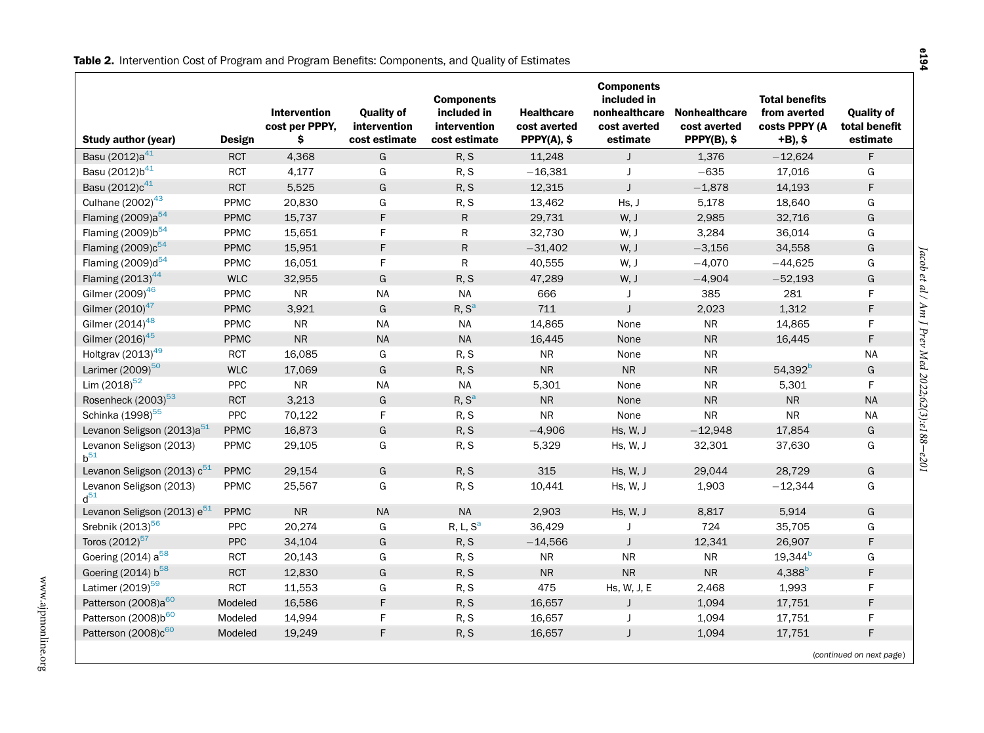<span id="page-6-0"></span>

| <b>Study author (year)</b>              | Design      | <b>Intervention</b><br>cost per PPPY,<br>\$ | <b>Quality of</b><br>intervention<br>cost estimate | <b>Components</b><br>included in<br>intervention<br>cost estimate | <b>Healthcare</b><br>cost averted<br>PPPY(A), \$ | <b>Components</b><br>included in<br>nonhealthcare<br>cost averted<br>estimate | <b>Nonhealthcare</b><br>cost averted<br>$PPPY(B),$ \$ | <b>Total benefits</b><br>from averted<br>costs PPPY (A<br>+B), \$ | <b>Quality of</b><br>total benefit<br>estimate |
|-----------------------------------------|-------------|---------------------------------------------|----------------------------------------------------|-------------------------------------------------------------------|--------------------------------------------------|-------------------------------------------------------------------------------|-------------------------------------------------------|-------------------------------------------------------------------|------------------------------------------------|
| Basu (2012)a <sup>41</sup>              | <b>RCT</b>  | 4,368                                       | G                                                  | R, S                                                              | 11,248                                           | J                                                                             | 1,376                                                 | $-12,624$                                                         | F                                              |
| Basu (2012)b <sup>41</sup>              | <b>RCT</b>  | 4,177                                       | G                                                  | R, S                                                              | $-16,381$                                        | J                                                                             | $-635$                                                | 17,016                                                            | G                                              |
| Basu (2012)c <sup>41</sup>              | <b>RCT</b>  | 5,525                                       | G                                                  | R, S                                                              | 12,315                                           | J                                                                             | $-1,878$                                              | 14,193                                                            | F                                              |
| Culhane (2002) <sup>43</sup>            | PPMC        | 20,830                                      | G                                                  | R, S                                                              | 13,462                                           | Hs, J                                                                         | 5,178                                                 | 18,640                                                            | G                                              |
| Flaming (2009)a <sup>54</sup>           | <b>PPMC</b> | 15,737                                      | F                                                  | $\mathsf{R}$                                                      | 29,731                                           | W, J                                                                          | 2,985                                                 | 32,716                                                            | G                                              |
| Flaming (2009)b <sup>54</sup>           | PPMC        | 15,651                                      | F                                                  | $\mathsf R$                                                       | 32,730                                           | W, J                                                                          | 3,284                                                 | 36,014                                                            | G                                              |
| Flaming (2009)c <sup>54</sup>           | <b>PPMC</b> | 15,951                                      | F                                                  | $\mathsf{R}$                                                      | $-31,402$                                        | W, J                                                                          | $-3,156$                                              | 34,558                                                            | G                                              |
| Flaming (2009)d <sup>54</sup>           | PPMC        | 16,051                                      | F                                                  | R                                                                 | 40,555                                           | W, J                                                                          | $-4,070$                                              | $-44,625$                                                         | G                                              |
| Flaming $(2013)^{44}$                   | <b>WLC</b>  | 32,955                                      | G                                                  | R, S                                                              | 47,289                                           | W, J                                                                          | $-4,904$                                              | $-52,193$                                                         | G                                              |
| Gilmer (2009) <sup>46</sup>             | PPMC        | <b>NR</b>                                   | <b>NA</b>                                          | <b>NA</b>                                                         | 666                                              | J                                                                             | 385                                                   | 281                                                               | F.                                             |
| Gilmer (2010) <sup>47</sup>             | <b>PPMC</b> | 3,921                                       | G                                                  | R, S <sup>a</sup>                                                 | 711                                              | $\mathbf{J}$                                                                  | 2,023                                                 | 1,312                                                             | F.                                             |
| Gilmer $(2014)^{48}$                    | PPMC        | <b>NR</b>                                   | <b>NA</b>                                          | <b>NA</b>                                                         | 14,865                                           | None                                                                          | <b>NR</b>                                             | 14,865                                                            | F.                                             |
| Gilmer (2016) <sup>45</sup>             | <b>PPMC</b> | ${\sf NR}$                                  | <b>NA</b>                                          | <b>NA</b>                                                         | 16,445                                           | None                                                                          | <b>NR</b>                                             | 16,445                                                            | F.                                             |
| Holtgrav $(2013)^{49}$                  | <b>RCT</b>  | 16,085                                      | G                                                  | R, S                                                              | <b>NR</b>                                        | None                                                                          | <b>NR</b>                                             |                                                                   | <b>NA</b>                                      |
| Larimer (2009) <sup>50</sup>            | <b>WLC</b>  | 17,069                                      | G                                                  | R, S                                                              | <b>NR</b>                                        | <b>NR</b>                                                                     | <b>NR</b>                                             | 54,392 <sup>b</sup>                                               | G                                              |
| Lim $(2018)^{52}$                       | PPC         | <b>NR</b>                                   | <b>NA</b>                                          | <b>NA</b>                                                         | 5,301                                            | None                                                                          | <b>NR</b>                                             | 5,301                                                             | F                                              |
| Rosenheck (2003) <sup>53</sup>          | <b>RCT</b>  | 3,213                                       | G                                                  | R, S <sup>a</sup>                                                 | <b>NR</b>                                        | None                                                                          | <b>NR</b>                                             | <b>NR</b>                                                         | <b>NA</b>                                      |
| Schinka (1998) <sup>55</sup>            | PPC         | 70,122                                      | F                                                  | R, S                                                              | <b>NR</b>                                        | None                                                                          | <b>NR</b>                                             | <b>NR</b>                                                         | <b>NA</b>                                      |
| Levanon Seligson (2013)a <sup>51</sup>  | <b>PPMC</b> | 16,873                                      | G                                                  | R, S                                                              | $-4,906$                                         | Hs, W, J                                                                      | $-12,948$                                             | 17,854                                                            | G                                              |
| Levanon Seligson (2013)<br>$b^{51}$     | PPMC        | 29,105                                      | G                                                  | R, S                                                              | 5,329                                            | Hs, W, J                                                                      | 32,301                                                | 37,630                                                            | G                                              |
| Levanon Seligson (2013) c <sup>51</sup> | <b>PPMC</b> | 29.154                                      | G                                                  | R, S                                                              | 315                                              | Hs, W, J                                                                      | 29,044                                                | 28.729                                                            | G                                              |
| Levanon Seligson (2013)<br>$d^{51}$     | PPMC        | 25,567                                      | G                                                  | R, S                                                              | 10,441                                           | Hs, W, J                                                                      | 1,903                                                 | $-12,344$                                                         | G                                              |
| Levanon Seligson (2013) e <sup>51</sup> | <b>PPMC</b> | <b>NR</b>                                   | <b>NA</b>                                          | <b>NA</b>                                                         | 2,903                                            | Hs, W, J                                                                      | 8,817                                                 | 5,914                                                             | G                                              |
| Srebnik (2013) <sup>56</sup>            | PPC         | 20,274                                      | G                                                  | R, L, S <sup>a</sup>                                              | 36,429                                           | J                                                                             | 724                                                   | 35,705                                                            | G                                              |
| Toros (2012) <sup>57</sup>              | <b>PPC</b>  | 34,104                                      | G                                                  | R, S                                                              | $-14,566$                                        | J                                                                             | 12,341                                                | 26,907                                                            | F.                                             |
| Goering (2014) a <sup>58</sup>          | <b>RCT</b>  | 20,143                                      | G                                                  | R, S                                                              | <b>NR</b>                                        | <b>NR</b>                                                                     | <b>NR</b>                                             | $19,344^{b}$                                                      | G                                              |
| Goering (2014) b <sup>58</sup>          | <b>RCT</b>  | 12,830                                      | G                                                  | R, S                                                              | <b>NR</b>                                        | <b>NR</b>                                                                     | <b>NR</b>                                             | 4,388 $^{b}$                                                      | F.                                             |
| Latimer (2019) <sup>59</sup>            | <b>RCT</b>  | 11,553                                      | G                                                  | R, S                                                              | 475                                              | Hs, W, J, E                                                                   | 2,468                                                 | 1,993                                                             | F                                              |
| Patterson (2008)a <sup>60</sup>         | Modeled     | 16,586                                      | F                                                  | R, S                                                              | 16,657                                           | $\mathbf{J}$                                                                  | 1,094                                                 | 17,751                                                            | F.                                             |
| Patterson (2008)b <sup>60</sup>         | Modeled     | 14,994                                      | F                                                  | R, S                                                              | 16,657                                           | J                                                                             | 1,094                                                 | 17,751                                                            | F.                                             |
| Patterson (2008)c <sup>60</sup>         | Modeled     | 19,249                                      | F                                                  | R, S                                                              | 16,657                                           | $\mathbf{J}$                                                                  | 1,094                                                 | 17,751                                                            | F.                                             |
|                                         |             |                                             |                                                    |                                                                   |                                                  |                                                                               |                                                       |                                                                   | (continued on next page)                       |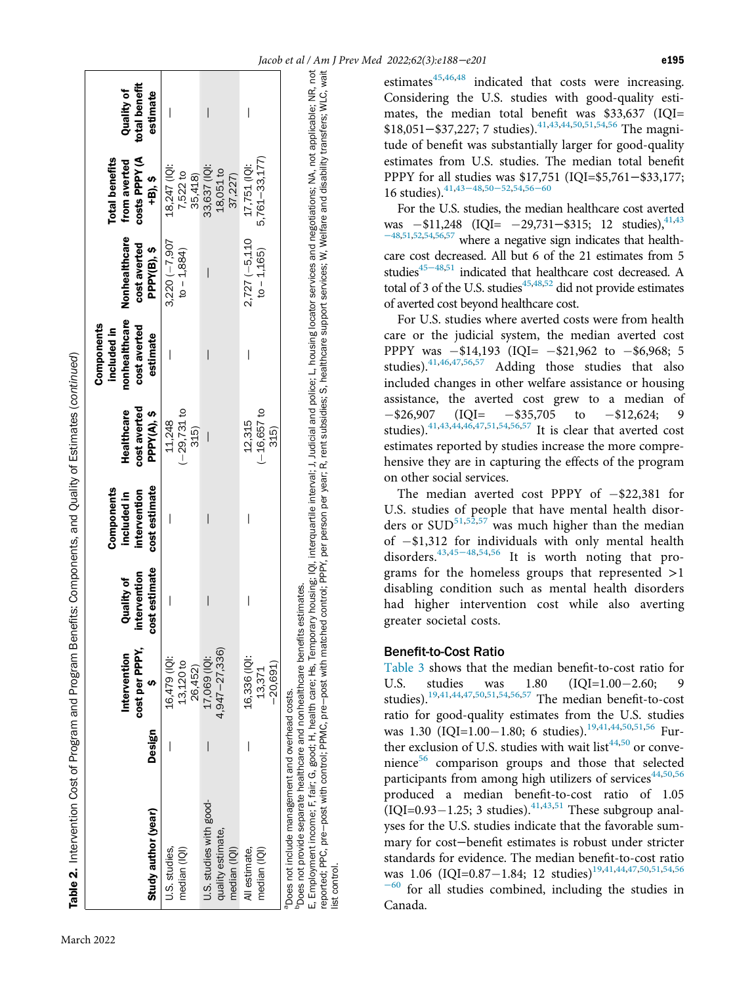|                                                                                                                                                                                                                                                                                                                                                                                                                                                                                                                                                                           |        |                                      |                                                    | Components                                   |                                           | Components<br>included in                 |                                              | <b>Total benefits</b>                    |                                         |
|---------------------------------------------------------------------------------------------------------------------------------------------------------------------------------------------------------------------------------------------------------------------------------------------------------------------------------------------------------------------------------------------------------------------------------------------------------------------------------------------------------------------------------------------------------------------------|--------|--------------------------------------|----------------------------------------------------|----------------------------------------------|-------------------------------------------|-------------------------------------------|----------------------------------------------|------------------------------------------|-----------------------------------------|
| Study author (year)                                                                                                                                                                                                                                                                                                                                                                                                                                                                                                                                                       | Design | cost per PPPY,<br>Intervention       | cost estimate<br>intervention<br><b>Quality of</b> | cost estimate<br>intervention<br>included in | cost averted<br>Healthcare<br>PPPY(A), \$ | nonhealthcare<br>cost averted<br>estimate | Nonhealthcare<br>cost averted<br>PPPY(B), \$ | costs PPPY (A<br>from averted<br>+B), \$ | total benefit<br>Quality of<br>estimate |
| U.S. studies,<br>median (IQI)                                                                                                                                                                                                                                                                                                                                                                                                                                                                                                                                             |        | 16,479 (101:<br>13,120 to<br>26,452) |                                                    | I                                            | $(-29, 731$ to<br>11,248<br>315)          |                                           | $3,220(-7,907)$<br>$to -1,884$               | 18,247 (IQI:<br>7,522 to<br>35,418)      |                                         |
| U.S. studies with good-<br>quality estimate,<br>median (IQI)                                                                                                                                                                                                                                                                                                                                                                                                                                                                                                              |        | $4,947 - 27,336$<br>17,069 (IQI:     | $\overline{\phantom{a}}$                           |                                              |                                           | I                                         |                                              | 33,637 (IQI:<br>18,051 to<br>37,227)     |                                         |
| All estimate.<br>median (IQI)                                                                                                                                                                                                                                                                                                                                                                                                                                                                                                                                             |        | 16,336 (IQI:<br>$-20,691$<br>13,371  |                                                    |                                              | $(-16, 657)$ to<br>12,315<br>315)         |                                           | $2,727(-5,110)$<br>$to - 1,165$              | 5,761 - 33,177)<br>17,751 (IQI:          |                                         |
| reported; PPC, pre-post with control; PPMC, pre-post with matched control; PPPY, per person per year; R, rent subsidies; S, healthcare support services; W, Welfare and disability transfers; WLC, wait<br>E, Employment income; F, fair; G, good; H, health care; Hs, Temporary housing; IQI, interquartile interval; J, Judicial and police; L, housing locator services and negotiations; NA, not applicable; NR, not<br>Does not provide separate healthcare and nonhealthcare benefits estimates.<br>Does not include management and overhead costs.<br>ist control. |        |                                      |                                                    |                                              |                                           |                                           |                                              |                                          |                                         |

<span id="page-7-0"></span>estimates $45,46,48$  $45,46,48$  $45,46,48$  $45,46,48$  indicated that costs were increasing. Considering the U.S. studies with good-quality estimates, the median total benefit was \$33,637 (IQI= \$18,051–\$37,227; 7 studies).<sup>[41](#page-12-2),[43](#page-12-6),[44](#page-12-7)[,50](#page-12-8)[,51,](#page-12-17)[54](#page-12-12),[56](#page-12-10)</sup> The magnitude of benefit was substantially larger for good-quality estimates from U.S. studies. The median total benefit PPPY for all studies was \$17,751 (IQI=\$5,761−\$33,177; 16 studies).<sup>[41,](#page-12-2)[43](#page-12-6)–48,50–[52](#page-12-8)[,54,](#page-12-12)[56](#page-12-10)–60</sup>

For the U.S. studies, the median healthcare cost averted was  $-$ \$11,248 (IQI=  $-$ 29,731−\$315; 12 studies),<sup>41,[43](#page-12-6)</sup> <sup>−</sup>[48,](#page-12-6)[51](#page-12-17),[52](#page-12-11)[,54](#page-12-12)[,56](#page-12-10)[,57](#page-12-16) where a negative sign indicates that healthcare cost decreased. All but 6 of the 21 estimates from 5 studies<sup>45−48[,51](#page-12-17)</sup> indicated that healthcare cost decreased. A total of 3 of the U.S. studies $45,48,52$  $45,48,52$  $45,48,52$  $45,48,52$  did not provide estimates of averted cost beyond healthcare cost.

For U.S. studies where averted costs were from health care or the judicial system, the median averted cost PPPY was  $-$ \$14,193 (IQI=  $-$ \$21,962 to  $-$ \$6,968; 5 studies).<sup>41,46,47,56,57</sup> Adding those studies that also Adding those studies that also included changes in other welfare assistance or housing assistance, the averted cost grew to a median of  $-$ \$26,907 (IQI=  $-$ \$35,705 to  $-$ \$12,624; 9 studies).<sup>[41](#page-12-2),[43](#page-12-6),[44](#page-12-7)[,46](#page-12-14)[,47,](#page-12-15)[51](#page-12-17),[54](#page-12-12)[,56](#page-12-10)[,57](#page-12-16)</sup> It is clear that averted cost estimates reported by studies increase the more comprehensive they are in capturing the effects of the program on other social services.

The median averted cost PPPY of  $-\$22,381$  for U.S. studies of people that have mental health disorders or  $\text{SUD}^{51,52,57}$  $\text{SUD}^{51,52,57}$  $\text{SUD}^{51,52,57}$  $\text{SUD}^{51,52,57}$  $\text{SUD}^{51,52,57}$  $\text{SUD}^{51,52,57}$  was much higher than the median of  $-$ \$1,312 for individuals with only mental health disorders.[43](#page-12-6),45−[48,](#page-12-21)[54](#page-12-12),[56](#page-12-10) It is worth noting that programs for the homeless groups that represented >1 disabling condition such as mental health disorders had higher intervention cost while also averting greater societal costs.

#### Benefit-to-Cost Ratio

[Table 3](#page-8-0) shows that the median benefit-to-cost ratio for U.S. studies was 1.80  $(IQI=1.00-2.60; 9$ studies).<sup>[19](#page-11-6),[41](#page-12-2),[44](#page-12-7)[,47](#page-12-15)[,50,](#page-12-8)[51](#page-12-17),[54](#page-12-12)[,56](#page-12-10)[,57](#page-12-16)</sup> The median benefit-to-cost ratio for good-quality estimates from the U.S. studies was 1.30 (IQI=1.00-1.80; 6 studies).<sup>[19,](#page-11-6)[41](#page-12-2),[44](#page-12-7)[,50,](#page-12-8)[51,](#page-12-17)[56](#page-12-10)</sup> Further exclusion of U.S. studies with wait list $44,50$  $44,50$  or convenience $56$  comparison groups and those that selected participants from among high utilizers of services $44,50,56$  $44,50,56$  $44,50,56$ produced a median benefit-to-cost ratio of 1.05  $(IQI=0.93-1.25; 3$  studies).<sup>[41,](#page-12-2)[43](#page-12-6),[51](#page-12-17)</sup> These subgroup analyses for the U.S. studies indicate that the favorable summary for cost−benefit estimates is robust under stricter standards for evidence. The median benefit-to-cost ratio was 1.06 (IQI=0.87-1.84; 12 studies)<sup>[19](#page-11-6)[,41,](#page-12-2)[44,](#page-12-7)[47](#page-12-15),[50](#page-12-8)[,51,](#page-12-17)[54](#page-12-12)[,56](#page-12-10)</sup>  $-60$  $-60$  for all studies combined, including the studies in Canada.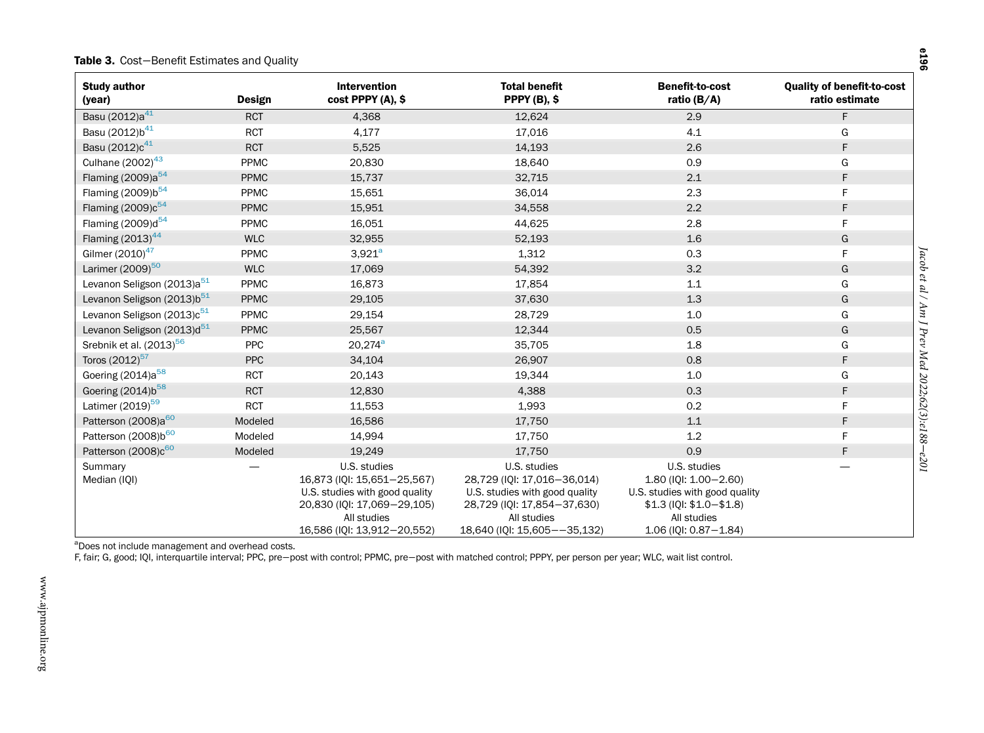#### Table 3. Cost−Benefit Estimates and Quality

<span id="page-8-1"></span><span id="page-8-0"></span>

| <b>Study author</b><br>(year)          | Design      | <b>Intervention</b><br>cost PPPY (A), \$                                                                                                                   | <b>Total benefit</b><br><b>PPPY (B), \$</b>                                                                                                                 | <b>Benefit-to-cost</b><br>ratio ( $B/A$ )                                                                                                                     | <b>Quality of benefit-to-cost</b><br>ratio estimate   |
|----------------------------------------|-------------|------------------------------------------------------------------------------------------------------------------------------------------------------------|-------------------------------------------------------------------------------------------------------------------------------------------------------------|---------------------------------------------------------------------------------------------------------------------------------------------------------------|-------------------------------------------------------|
| Basu (2012)a <sup>41</sup>             | <b>RCT</b>  | 4,368                                                                                                                                                      | 12,624                                                                                                                                                      | 2.9                                                                                                                                                           | F.                                                    |
| Basu (2012)b <sup>41</sup>             | <b>RCT</b>  | 4,177                                                                                                                                                      | 17,016                                                                                                                                                      | 4.1                                                                                                                                                           | G                                                     |
| Basu (2012)c <sup>41</sup>             | <b>RCT</b>  | 5,525                                                                                                                                                      | 14,193                                                                                                                                                      | 2.6                                                                                                                                                           | F.                                                    |
| Culhane $(2002)^{43}$                  | PPMC        | 20,830                                                                                                                                                     | 18,640                                                                                                                                                      | 0.9                                                                                                                                                           | G                                                     |
| Flaming (2009)a <sup>54</sup>          | <b>PPMC</b> | 15,737                                                                                                                                                     | 32,715                                                                                                                                                      | 2.1                                                                                                                                                           | F.                                                    |
| Flaming (2009)b <sup>54</sup>          | PPMC        | 15,651                                                                                                                                                     | 36,014                                                                                                                                                      | 2.3                                                                                                                                                           | F                                                     |
| Flaming $(2009)c^{54}$                 | <b>PPMC</b> | 15,951                                                                                                                                                     | 34,558                                                                                                                                                      | 2.2                                                                                                                                                           | F                                                     |
| Flaming (2009)d <sup>54</sup>          | PPMC        | 16,051                                                                                                                                                     | 44,625                                                                                                                                                      | 2.8                                                                                                                                                           | F                                                     |
| Flaming $(2013)^{44}$                  | <b>WLC</b>  | 32,955                                                                                                                                                     | 52,193                                                                                                                                                      | 1.6                                                                                                                                                           | G                                                     |
| Gilmer (2010) <sup>47</sup>            | PPMC        | $3,921^a$                                                                                                                                                  | 1,312                                                                                                                                                       | 0.3                                                                                                                                                           | F.                                                    |
| Larimer (2009) <sup>50</sup>           | <b>WLC</b>  | 17,069                                                                                                                                                     | 54,392                                                                                                                                                      | 3.2                                                                                                                                                           | G                                                     |
| Levanon Seligson (2013)a <sup>51</sup> | PPMC        | 16,873                                                                                                                                                     | 17,854                                                                                                                                                      | 1.1                                                                                                                                                           | G                                                     |
| Levanon Seligson (2013)b <sup>51</sup> | <b>PPMC</b> | 29,105                                                                                                                                                     | 37,630                                                                                                                                                      | 1.3                                                                                                                                                           | Jacob et al / Am J Prev Med 2022;62(3):e188–e201<br>G |
| Levanon Seligson (2013)c <sup>51</sup> | PPMC        | 29,154                                                                                                                                                     | 28,729                                                                                                                                                      | 1.0                                                                                                                                                           | G                                                     |
| Levanon Seligson (2013)d <sup>51</sup> | <b>PPMC</b> | 25,567                                                                                                                                                     | 12,344                                                                                                                                                      | 0.5                                                                                                                                                           | G                                                     |
| Srebnik et al. (2013) <sup>56</sup>    | PPC         | $20,274^{\circ}$                                                                                                                                           | 35,705                                                                                                                                                      | 1.8                                                                                                                                                           | G                                                     |
| Toros (2012) <sup>57</sup>             | <b>PPC</b>  | 34,104                                                                                                                                                     | 26,907                                                                                                                                                      | 0.8                                                                                                                                                           | F                                                     |
| Goering (2014)a <sup>58</sup>          | <b>RCT</b>  | 20,143                                                                                                                                                     | 19,344                                                                                                                                                      | 1.0                                                                                                                                                           | G                                                     |
| Goering (2014)b <sup>58</sup>          | <b>RCT</b>  | 12,830                                                                                                                                                     | 4,388                                                                                                                                                       | 0.3                                                                                                                                                           | F                                                     |
| Latimer (2019) <sup>59</sup>           | <b>RCT</b>  | 11,553                                                                                                                                                     | 1,993                                                                                                                                                       | 0.2                                                                                                                                                           | F                                                     |
| Patterson (2008)a <sup>60</sup>        | Modeled     | 16,586                                                                                                                                                     | 17,750                                                                                                                                                      | 1.1                                                                                                                                                           | F.                                                    |
| Patterson (2008)b <sup>60</sup>        | Modeled     | 14,994                                                                                                                                                     | 17,750                                                                                                                                                      | 1.2                                                                                                                                                           | F                                                     |
| Patterson (2008)c <sup>60</sup>        | Modeled     | 19,249                                                                                                                                                     | 17,750                                                                                                                                                      | 0.9                                                                                                                                                           | F.                                                    |
| Summary<br>Median (IQI)                |             | U.S. studies<br>16,873 (IQI: 15,651-25,567)<br>U.S. studies with good quality<br>20,830 (IQI: 17,069-29,105)<br>All studies<br>16,586 (IQI: 13,912-20,552) | U.S. studies<br>28,729 (IQI: 17,016-36,014)<br>U.S. studies with good quality<br>28,729 (IQI: 17,854-37,630)<br>All studies<br>18,640 (IQI: 15,605--35,132) | U.S. studies<br>$1.80$ (IQI: $1.00 - 2.60$ )<br>U.S. studies with good quality<br>$$1.3$ (IQI: $$1.0 - $1.8$ )<br>All studies<br>$1.06$ (IQI: $0.87 - 1.84$ ) |                                                       |

<sup>a</sup>Does not include management and overhead costs.

F, fair; G, good; IQI, interquartile interval; PPC, pre−post with control; PPMC, pre−post with matched control; PPPY, per person per year; WLC, wait list control.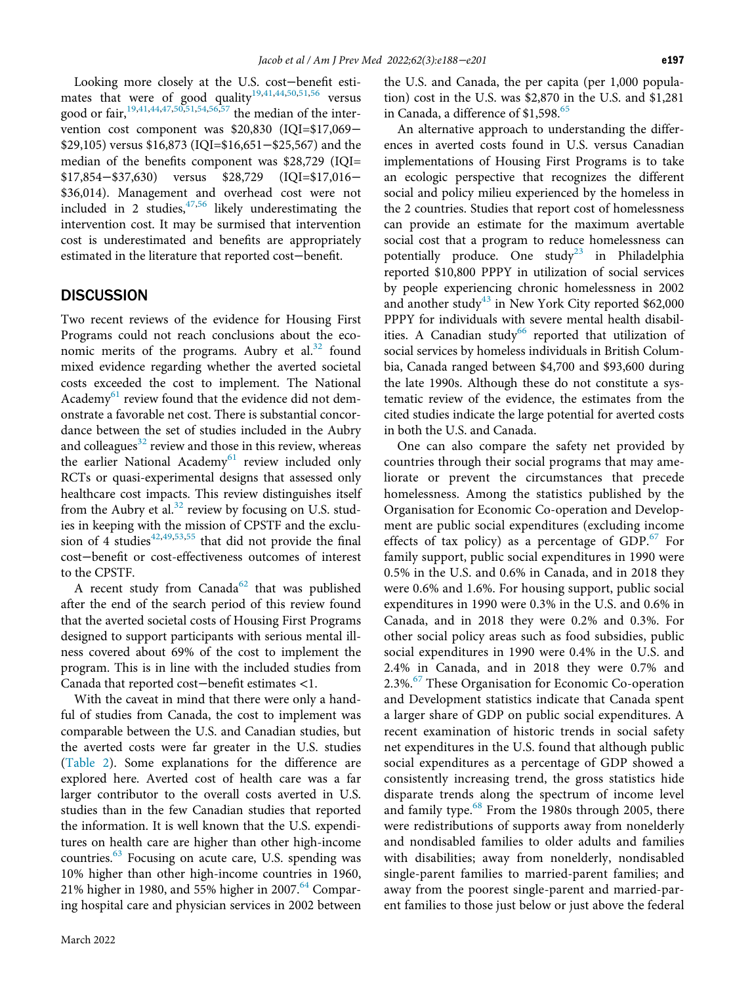Looking more closely at the U.S. cost−benefit esti-mates that were of good quality<sup>[19](#page-11-6)[,41,](#page-12-2)[44,](#page-12-7)[50](#page-12-8),[51](#page-12-17),[56](#page-12-10)</sup> versus good or fair,  $\frac{19,41,44,47,50,51,54,56,57}{3}$  $\frac{19,41,44,47,50,51,54,56,57}{3}$  $\frac{19,41,44,47,50,51,54,56,57}{3}$  $\frac{19,41,44,47,50,51,54,56,57}{3}$  $\frac{19,41,44,47,50,51,54,56,57}{3}$  $\frac{19,41,44,47,50,51,54,56,57}{3}$  $\frac{19,41,44,47,50,51,54,56,57}{3}$  $\frac{19,41,44,47,50,51,54,56,57}{3}$  $\frac{19,41,44,47,50,51,54,56,57}{3}$  $\frac{19,41,44,47,50,51,54,56,57}{3}$  $\frac{19,41,44,47,50,51,54,56,57}{3}$  $\frac{19,41,44,47,50,51,54,56,57}{3}$  $\frac{19,41,44,47,50,51,54,56,57}{3}$  $\frac{19,41,44,47,50,51,54,56,57}{3}$  the median of the intervention cost component was \$20,830 (IQI=\$17,069− \$29,105) versus \$16,873 (IQI=\$16,651−\$25,567) and the median of the benefits component was \$28,729 (IQI= \$17,854−\$37,630) versus \$28,729 (IQI=\$17,016− \$36,014). Management and overhead cost were not included in 2 studies,  $47,56$  $47,56$  likely underestimating the intervention cost. It may be surmised that intervention cost is underestimated and benefits are appropriately estimated in the literature that reported cost−benefit.

# **DISCUSSION**

Two recent reviews of the evidence for Housing First Programs could not reach conclusions about the economic merits of the programs. Aubry et al. $32$  found mixed evidence regarding whether the averted societal costs exceeded the cost to implement. The National Academy<sup>61</sup> review found that the evidence did not demonstrate a favorable net cost. There is substantial concordance between the set of studies included in the Aubry and colleagues $32$  review and those in this review, whereas the earlier National Academy<sup>[61](#page-12-41)</sup> review included only RCTs or quasi-experimental designs that assessed only healthcare cost impacts. This review distinguishes itself from the Aubry et al.<sup>[32](#page-11-14)</sup> review by focusing on U.S. studies in keeping with the mission of CPSTF and the exclu-sion of 4 studies<sup>[42](#page-12-18),[49](#page-12-4)[,53,](#page-12-9)[55](#page-12-19)</sup> that did not provide the final cost−benefit or cost-effectiveness outcomes of interest to the CPSTF.

A recent study from Canada<sup>[62](#page-12-42)</sup> that was published after the end of the search period of this review found that the averted societal costs of Housing First Programs designed to support participants with serious mental illness covered about 69% of the cost to implement the program. This is in line with the included studies from Canada that reported cost−benefit estimates <1.

With the caveat in mind that there were only a handful of studies from Canada, the cost to implement was comparable between the U.S. and Canadian studies, but the averted costs were far greater in the U.S. studies [\(Table 2\)](#page-6-0). Some explanations for the difference are explored here. Averted cost of health care was a far larger contributor to the overall costs averted in U.S. studies than in the few Canadian studies that reported the information. It is well known that the U.S. expenditures on health care are higher than other high-income countries. $63$  Focusing on acute care, U.S. spending was 10% higher than other high-income countries in 1960, 21% higher in 1980, and 55% higher in 2007. $64$  Comparing hospital care and physician services in 2002 between

the U.S. and Canada, the per capita (per 1,000 population) cost in the U.S. was \$2,870 in the U.S. and \$1,281 in Canada, a difference of \$1,598.<sup>[65](#page-12-45)</sup>

An alternative approach to understanding the differences in averted costs found in U.S. versus Canadian implementations of Housing First Programs is to take an ecologic perspective that recognizes the different social and policy milieu experienced by the homeless in the 2 countries. Studies that report cost of homelessness can provide an estimate for the maximum avertable social cost that a program to reduce homelessness can potentially produce. One study<sup>[23](#page-11-21)</sup> in Philadelphia reported \$10,800 PPPY in utilization of social services by people experiencing chronic homelessness in 2002 and another study<sup>[43](#page-12-6)</sup> in New York City reported  $$62,000$ PPPY for individuals with severe mental health disabil-ities. A Canadian study<sup>[66](#page-12-46)</sup> reported that utilization of social services by homeless individuals in British Columbia, Canada ranged between \$4,700 and \$93,600 during the late 1990s. Although these do not constitute a systematic review of the evidence, the estimates from the cited studies indicate the large potential for averted costs in both the U.S. and Canada.

One can also compare the safety net provided by countries through their social programs that may ameliorate or prevent the circumstances that precede homelessness. Among the statistics published by the Organisation for Economic Co-operation and Development are public social expenditures (excluding income effects of tax policy) as a percentage of  $GDP<sup>67</sup>$  $GDP<sup>67</sup>$  $GDP<sup>67</sup>$  For family support, public social expenditures in 1990 were 0.5% in the U.S. and 0.6% in Canada, and in 2018 they were 0.6% and 1.6%. For housing support, public social expenditures in 1990 were 0.3% in the U.S. and 0.6% in Canada, and in 2018 they were 0.2% and 0.3%. For other social policy areas such as food subsidies, public social expenditures in 1990 were 0.4% in the U.S. and 2.4% in Canada, and in 2018 they were 0.7% and 2.3%.<sup>[67](#page-12-47)</sup> These Organisation for Economic Co-operation and Development statistics indicate that Canada spent a larger share of GDP on public social expenditures. A recent examination of historic trends in social safety net expenditures in the U.S. found that although public social expenditures as a percentage of GDP showed a consistently increasing trend, the gross statistics hide disparate trends along the spectrum of income level and family type.<sup>[68](#page-13-0)</sup> From the 1980s through 2005, there were redistributions of supports away from nonelderly and nondisabled families to older adults and families with disabilities; away from nonelderly, nondisabled single-parent families to married-parent families; and away from the poorest single-parent and married-parent families to those just below or just above the federal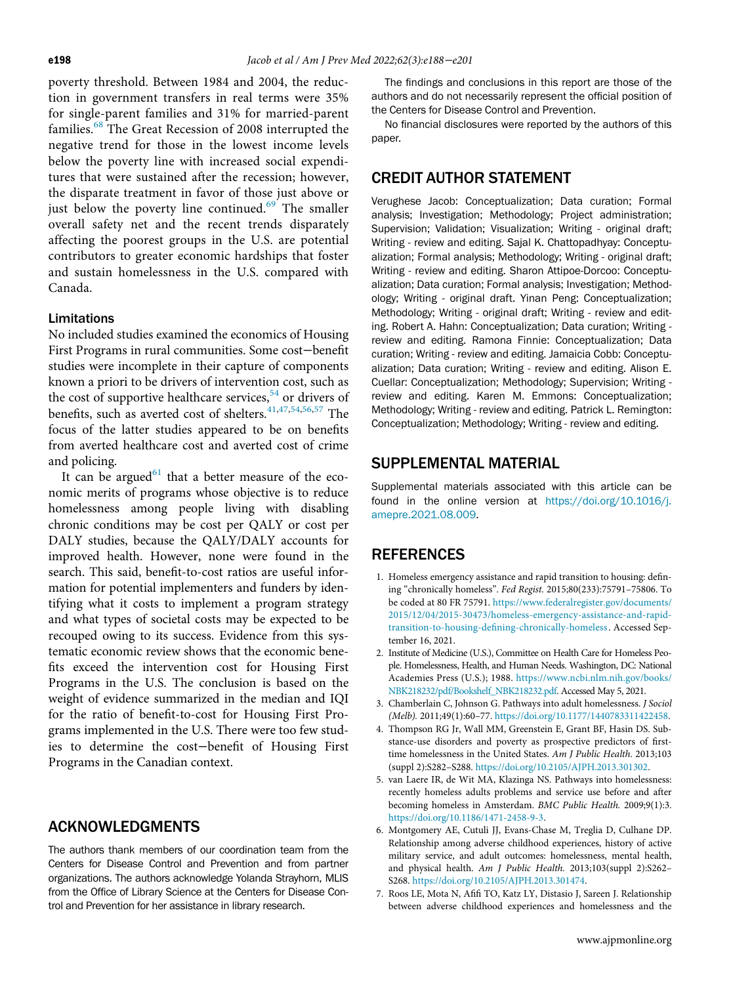poverty threshold. Between 1984 and 2004, the reduction in government transfers in real terms were 35% for single-parent families and 31% for married-parent families.<sup>[68](#page-13-0)</sup> The Great Recession of 2008 interrupted the negative trend for those in the lowest income levels below the poverty line with increased social expenditures that were sustained after the recession; however, the disparate treatment in favor of those just above or just below the poverty line continued. $69$  The smaller overall safety net and the recent trends disparately affecting the poorest groups in the U.S. are potential contributors to greater economic hardships that foster and sustain homelessness in the U.S. compared with Canada.

#### Limitations

No included studies examined the economics of Housing First Programs in rural communities. Some cost−benefit studies were incomplete in their capture of components known a priori to be drivers of intervention cost, such as the cost of supportive healthcare services,<sup>[54](#page-12-12)</sup> or drivers of benefits, such as averted cost of shelters. $41,47,54,56,57$  $41,47,54,56,57$  $41,47,54,56,57$  $41,47,54,56,57$  $41,47,54,56,57$  $41,47,54,56,57$  The focus of the latter studies appeared to be on benefits from averted healthcare cost and averted cost of crime and policing.

<span id="page-10-5"></span><span id="page-10-1"></span><span id="page-10-0"></span>It can be argued<sup>[61](#page-12-41)</sup> that a better measure of the economic merits of programs whose objective is to reduce homelessness among people living with disabling chronic conditions may be cost per QALY or cost per DALY studies, because the QALY/DALY accounts for improved health. However, none were found in the search. This said, benefit-to-cost ratios are useful information for potential implementers and funders by identifying what it costs to implement a program strategy and what types of societal costs may be expected to be recouped owing to its success. Evidence from this systematic economic review shows that the economic benefits exceed the intervention cost for Housing First Programs in the U.S. The conclusion is based on the weight of evidence summarized in the median and IQI for the ratio of benefit-to-cost for Housing First Programs implemented in the U.S. There were too few studies to determine the cost−benefit of Housing First Programs in the Canadian context.

# <span id="page-10-3"></span><span id="page-10-2"></span>ACKNOWLEDGMENTS

<span id="page-10-4"></span>The authors thank members of our coordination team from the Centers for Disease Control and Prevention and from partner organizations. The authors acknowledge Yolanda Strayhorn, MLIS from the Office of Library Science at the Centers for Disease Control and Prevention for her assistance in library research.

The findings and conclusions in this report are those of the authors and do not necessarily represent the official position of the Centers for Disease Control and Prevention.

No financial disclosures were reported by the authors of this paper.

# CREDIT AUTHOR STATEMENT

Verughese Jacob: Conceptualization; Data curation; Formal analysis; Investigation; Methodology; Project administration; Supervision; Validation; Visualization; Writing - original draft; Writing - review and editing. Sajal K. Chattopadhyay: Conceptualization; Formal analysis; Methodology; Writing - original draft; Writing - review and editing. Sharon Attipoe-Dorcoo: Conceptualization; Data curation; Formal analysis; Investigation; Methodology; Writing - original draft. Yinan Peng: Conceptualization; Methodology; Writing - original draft; Writing - review and editing. Robert A. Hahn: Conceptualization; Data curation; Writing review and editing. Ramona Finnie: Conceptualization; Data curation; Writing - review and editing. Jamaicia Cobb: Conceptualization; Data curation; Writing - review and editing. Alison E. Cuellar: Conceptualization; Methodology; Supervision; Writing review and editing. Karen M. Emmons: Conceptualization; Methodology; Writing - review and editing. Patrick L. Remington: Conceptualization; Methodology; Writing - review and editing.

### SUPPLEMENTAL MATERIAL

Supplemental materials associated with this article can be found in the online version at [https://doi.org/10.1016/j.](https://doi.org/10.1016/j.amepre.2021.08.009) [amepre.2021.08.009](https://doi.org/10.1016/j.amepre.2021.08.009).

# REFERENCES

- 1. Homeless emergency assistance and rapid transition to housing: defining "chronically homeless". Fed Regist. 2015;80(233):75791–75806. To be coded at 80 FR 75791. [https://www.federalregister.gov/documents/](https://www.federalregister.gov/documents/2015/12/04/2015-30473/homeless-emergency-assistance-and-rapid-transition-to-housing-defining-chronically-homeless) [2015/12/04/2015-30473/homeless-emergency-assistance-and-rapid](https://www.federalregister.gov/documents/2015/12/04/2015-30473/homeless-emergency-assistance-and-rapid-transition-to-housing-defining-chronically-homeless)transition-to-housing-defi[ning-chronically-homeless](https://www.federalregister.gov/documents/2015/12/04/2015-30473/homeless-emergency-assistance-and-rapid-transition-to-housing-defining-chronically-homeless). Accessed September 16, 2021.
- 2. Institute of Medicine (U.S.), Committee on Health Care for Homeless People. Homelessness, Health, and Human Needs. Washington, DC: National Academies Press (U.S.); 1988. [https://www.ncbi.nlm.nih.gov/books/](https://www.ncbi.nlm.nih.gov/books/NBK218232/pdf/Bookshelf_NBK218232.pdf) [NBK218232/pdf/Bookshelf\\_NBK218232.pdf.](https://www.ncbi.nlm.nih.gov/books/NBK218232/pdf/Bookshelf_NBK218232.pdf) Accessed May 5, 2021.
- 3. Chamberlain C, Johnson G. Pathways into adult homelessness. J Sociol (Melb). 2011;49(1):60–77. [https://doi.org/10.1177/1440783311422458.](https://doi.org/10.1177/1440783311422458)
- 4. Thompson RG Jr, Wall MM, Greenstein E, Grant BF, Hasin DS. Substance-use disorders and poverty as prospective predictors of firsttime homelessness in the United States. Am J Public Health. 2013;103 (suppl 2):S282–S288. [https://doi.org/10.2105/AJPH.2013.301302.](https://doi.org/10.2105/AJPH.2013.301302)
- 5. van Laere IR, de Wit MA, Klazinga NS. Pathways into homelessness: recently homeless adults problems and service use before and after becoming homeless in Amsterdam. BMC Public Health. 2009;9(1):3. [https://doi.org/10.1186/1471-2458-9-3.](https://doi.org/10.1186/1471-2458-9-3)
- 6. Montgomery AE, Cutuli JJ, Evans-Chase M, Treglia D, Culhane DP. Relationship among adverse childhood experiences, history of active military service, and adult outcomes: homelessness, mental health, and physical health. Am J Public Health. 2013;103(suppl 2):S262– S268. [https://doi.org/10.2105/AJPH.2013.301474.](https://doi.org/10.2105/AJPH.2013.301474)
- 7. Roos LE, Mota N, Afifi TO, Katz LY, Distasio J, Sareen J. Relationship between adverse childhood experiences and homelessness and the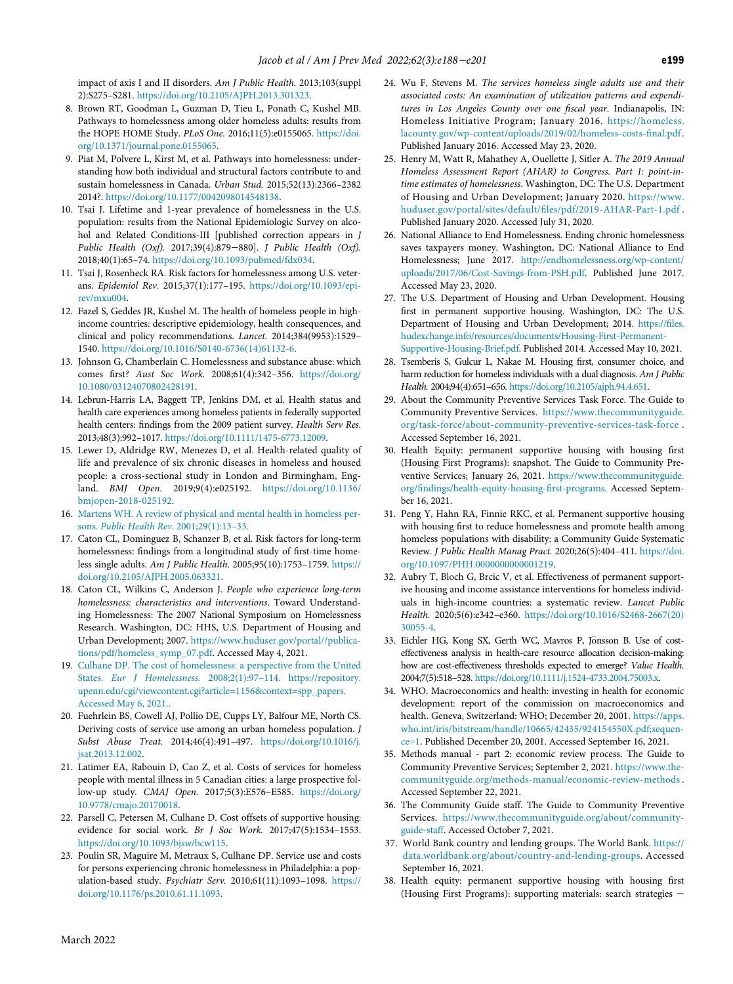impact of axis I and II disorders. Am J Public Health. 2013;103(suppl 2):S275–S281. [https://doi.org/10.2105/AJPH.2013.301323.](https://doi.org/10.2105/AJPH.2013.301323)

- <span id="page-11-0"></span>8. Brown RT, Goodman L, Guzman D, Tieu L, Ponath C, Kushel MB. Pathways to homelessness among older homeless adults: results from the HOPE HOME Study. PLoS One. 2016;11(5):e0155065. [https://doi.](https://doi.org/10.1371/journal.pone.0155065) [org/10.1371/journal.pone.0155065.](https://doi.org/10.1371/journal.pone.0155065)
- <span id="page-11-7"></span>9. Piat M, Polvere L, Kirst M, et al. Pathways into homelessness: understanding how both individual and structural factors contribute to and sustain homelessness in Canada. Urban Stud. 2015;52(13):2366–2382 2014?. [https://doi.org/10.1177/0042098014548138.](https://doi.org/10.1177/0042098014548138)
- <span id="page-11-8"></span>10. Tsai J. Lifetime and 1-year prevalence of homelessness in the U.S. population: results from the National Epidemiologic Survey on alcohol and Related Conditions-III [published correction appears in J Public Health (Oxf). 2017;39(4):879−880]. J Public Health (Oxf). 2018;40(1):65–74. [https://doi.org/10.1093/pubmed/fdx034.](https://doi.org/10.1093/pubmed/fdx034)
- 11. Tsai J, Rosenheck RA. Risk factors for homelessness among U.S. veterans. Epidemiol Rev. 2015;37(1):177–195. [https://doi.org/10.1093/epi](https://doi.org/10.1093/epirev/mxu004)[rev/mxu004.](https://doi.org/10.1093/epirev/mxu004)
- <span id="page-11-9"></span><span id="page-11-1"></span>12. Fazel S, Geddes JR, Kushel M. The health of homeless people in highincome countries: descriptive epidemiology, health consequences, and clinical and policy recommendations. Lancet. 2014;384(9953):1529– 1540. [https://doi.org/10.1016/S0140-6736\(14\)61132-6.](https://doi.org/10.1016/S0140-6736(14)61132-6)
- <span id="page-11-10"></span><span id="page-11-2"></span>13. Johnson G, Chamberlain C. Homelessness and substance abuse: which comes first? Aust Soc Work. 2008;61(4):342–356. [https://doi.org/](https://doi.org/10.1080/03124070802428191) [10.1080/03124070802428191.](https://doi.org/10.1080/03124070802428191)
- <span id="page-11-11"></span><span id="page-11-3"></span>14. Lebrun-Harris LA, Baggett TP, Jenkins DM, et al. Health status and health care experiences among homeless patients in federally supported health centers: findings from the 2009 patient survey. Health Serv Res. 2013;48(3):992–1017. [https://doi.org/10.1111/1475-6773.12009.](https://doi.org/10.1111/1475-6773.12009)
- <span id="page-11-12"></span>15. Lewer D, Aldridge RW, Menezes D, et al. Health-related quality of life and prevalence of six chronic diseases in homeless and housed people: a cross-sectional study in London and Birmingham, England. BMJ Open. 2019;9(4):e025192. [https://doi.org/10.1136/](https://doi.org/10.1136/bmjopen-2018-025192) [bmjopen-2018-025192.](https://doi.org/10.1136/bmjopen-2018-025192)
- <span id="page-11-13"></span>16. [Martens WH. A review of physical and mental health in homeless per](http://refhub.elsevier.com/S0749-3797(21)00482-7/sbref0016)sons. [Public Health Rev.](http://refhub.elsevier.com/S0749-3797(21)00482-7/sbref0016) 2001;29(1):13–33.
- <span id="page-11-4"></span>17. Caton CL, Dominguez B, Schanzer B, et al. Risk factors for long-term homelessness: findings from a longitudinal study of first-time homeless single adults. Am J Public Health. 2005;95(10):1753–1759. [https://](https://doi.org/10.2105/AJPH.2005.063321) [doi.org/10.2105/AJPH.2005.063321.](https://doi.org/10.2105/AJPH.2005.063321)
- <span id="page-11-14"></span><span id="page-11-5"></span>18. Caton CL, Wilkins C, Anderson J. People who experience long-term homelessness: characteristics and interventions. Toward Understanding Homelessness: The 2007 National Symposium on Homelessness Research. Washington, DC: HHS, U.S. Department of Housing and Urban Development; 2007. [https://www.huduser.gov/portal//publica](https://www.huduser.gov/portal//publications/pdf/homeless_symp_07.pdf)[tions/pdf/homeless\\_symp\\_07.pdf.](https://www.huduser.gov/portal//publications/pdf/homeless_symp_07.pdf) Accessed May 4, 2021.
- <span id="page-11-16"></span><span id="page-11-15"></span><span id="page-11-6"></span>19. [Culhane DP. The cost of homelessness: a perspective from the United](http://refhub.elsevier.com/S0749-3797(21)00482-7/sbref0019) States. Eur J Homelessness. 2008;2(1):97–[114. https://repository.](http://refhub.elsevier.com/S0749-3797(21)00482-7/sbref0019) [upenn.edu/cgi/viewcontent.cgi?article=1156&context=spp\\_papers.](http://refhub.elsevier.com/S0749-3797(21)00482-7/sbref0019) [Accessed May 6, 2021..](http://refhub.elsevier.com/S0749-3797(21)00482-7/sbref0019)
- 20. Fuehrlein BS, Cowell AJ, Pollio DE, Cupps LY, Balfour ME, North CS. Deriving costs of service use among an urban homeless population. J Subst Abuse Treat. 2014;46(4):491–497. [https://doi.org/10.1016/j.](https://doi.org/10.1016/j.jsat.2013.12.002) [jsat.2013.12.002.](https://doi.org/10.1016/j.jsat.2013.12.002)
- <span id="page-11-17"></span>21. Latimer EA, Rabouin D, Cao Z, et al. Costs of services for homeless people with mental illness in 5 Canadian cities: a large prospective follow-up study. CMAJ Open. 2017;5(3):E576–E585. [https://doi.org/](https://doi.org/10.9778/cmajo.20170018) [10.9778/cmajo.20170018.](https://doi.org/10.9778/cmajo.20170018)
- <span id="page-11-18"></span>22. Parsell C, Petersen M, Culhane D. Cost offsets of supportive housing: evidence for social work. Br J Soc Work. 2017;47(5):1534–1553. [https://doi.org/10.1093/bjsw/bcw115.](https://doi.org/10.1093/bjsw/bcw115)
- <span id="page-11-21"></span><span id="page-11-20"></span><span id="page-11-19"></span>23. Poulin SR, Maguire M, Metraux S, Culhane DP. Service use and costs for persons experiencing chronic homelessness in Philadelphia: a population-based study. Psychiatr Serv. 2010;61(11):1093–1098. [https://](https://doi.org/10.1176/ps.2010.61.11.1093) [doi.org/10.1176/ps.2010.61.11.1093.](https://doi.org/10.1176/ps.2010.61.11.1093)
- 24. Wu F, Stevens M. The services homeless single adults use and their associated costs: An examination of utilization patterns and expenditures in Los Angeles County over one fiscal year. Indianapolis, IN: Homeless Initiative Program; January 2016. [https://homeless.](https://homeless.lacounty.gov/wp-content/uploads/2019/02/homeless-costs-final.pdf) [lacounty.gov/wp-content/uploads/2019/02/homeless-costs-](https://homeless.lacounty.gov/wp-content/uploads/2019/02/homeless-costs-final.pdf)final.pdf. Published January 2016. Accessed May 23, 2020.
- 25. Henry M, Watt R, Mahathey A, Ouellette J, Sitler A. The 2019 Annual Homeless Assessment Report (AHAR) to Congress. Part 1: point-intime estimates of homelessness. Washington, DC: The U.S. Department of Housing and Urban Development; January 2020. [https://www.](https://www.huduser.gov/portal/sites/default/files/pdf/2019-AHAR-Part-1.pdf) [huduser.gov/portal/sites/default/](https://www.huduser.gov/portal/sites/default/files/pdf/2019-AHAR-Part-1.pdf)files/pdf/2019-AHAR-Part-1.pdf . Published January 2020. Accessed July 31, 2020.
- 26. National Alliance to End Homelessness. Ending chronic homelessness saves taxpayers money. Washington, DC: National Alliance to End Homelessness; June 2017. [http://endhomelessness.org/wp-content/](http://endhomelessness.org/wp-content/uploads/2017/06/Cost-Savings-from-PSH.pdf) [uploads/2017/06/Cost-Savings-from-PSH.pdf.](http://endhomelessness.org/wp-content/uploads/2017/06/Cost-Savings-from-PSH.pdf) Published June 2017. Accessed May 23, 2020.
- 27. The U.S. Department of Housing and Urban Development. Housing first in permanent supportive housing. Washington, DC: The U.S. Department of Housing and Urban Development; 2014. [https://](https://files.hudexchange.info/resources/documents/Housing-First-Permanent-Supportive-Housing-Brief.pdf)files. [hudexchange.info/resources/documents/Housing-First-Permanent-](https://files.hudexchange.info/resources/documents/Housing-First-Permanent-Supportive-Housing-Brief.pdf)[Supportive-Housing-Brief.pdf.](https://files.hudexchange.info/resources/documents/Housing-First-Permanent-Supportive-Housing-Brief.pdf) Published 2014. Accessed May 10, 2021.
- 28. Tsemberis S, Gulcur L, Nakae M. Housing first, consumer choice, and harm reduction for homeless individuals with a dual diagnosis. Am J Public Health. 2004;94(4):651–656. [https://doi.org/10.2105/ajph.94.4.651.](https://doi.org/10.2105/ajph.94.4.651)
- 29. About the Community Preventive Services Task Force. The Guide to Community Preventive Services. [https://www.thecommunityguide.](https://www.thecommunityguide.org/task-force/about-community-preventive-services-task-force) [org/task-force/about-community-preventive-services-task-force](https://www.thecommunityguide.org/task-force/about-community-preventive-services-task-force) . Accessed September 16, 2021.
- 30. Health Equity: permanent supportive housing with housing first (Housing First Programs): snapshot. The Guide to Community Preventive Services; January 26, 2021. [https://www.thecommunityguide.](https://www.thecommunityguide.org/findings/health-equity-housing-first-programs) org/fi[ndings/health-equity-housing-](https://www.thecommunityguide.org/findings/health-equity-housing-first-programs)first-programs. Accessed September 16, 2021.
- 31. Peng Y, Hahn RA, Finnie RKC, et al. Permanent supportive housing with housing first to reduce homelessness and promote health among homeless populations with disability: a Community Guide Systematic Review. J Public Health Manag Pract. 2020;26(5):404–411. [https://doi.](https://doi.org/10.1097/PHH.0000000000001219) [org/10.1097/PHH.0000000000001219.](https://doi.org/10.1097/PHH.0000000000001219)
- 32. Aubry T, Bloch G, Brcic V, et al. Effectiveness of permanent supportive housing and income assistance interventions for homeless individuals in high-income countries: a systematic review. Lancet Public Health. 2020;5(6):e342–e360. [https://doi.org/10.1016/S2468-2667\(20\)](https://doi.org/10.1016/S2468-2667(20)30055-4) [30055-4.](https://doi.org/10.1016/S2468-2667(20)30055-4)
- 33. Eichler HG, Kong SX, Gerth WC, Mavros P, Jönsson B. Use of costeffectiveness analysis in health-care resource allocation decision-making: how are cost-effectiveness thresholds expected to emerge? Value Health. 2004;7(5):518–528. [https://doi.org/10.1111/j.1524-4733.2004.75003.x.](https://doi.org/10.1111/j.1524-4733.2004.75003.x)
- 34. WHO. Macroeconomics and health: investing in health for economic development: report of the commission on macroeconomics and health. Geneva, Switzerland: WHO; December 20, 2001. [https://apps.](https://apps.who.int/iris/bitstream/handle/10665/42435/924154550X.pdf;sequence=1) [who.int/iris/bitstream/handle/10665/42435/924154550X.pdf;sequen](https://apps.who.int/iris/bitstream/handle/10665/42435/924154550X.pdf;sequence=1)[ce=1](https://apps.who.int/iris/bitstream/handle/10665/42435/924154550X.pdf;sequence=1). Published December 20, 2001. Accessed September 16, 2021.
- 35. Methods manual part 2: economic review process. The Guide to Community Preventive Services; September 2, 2021. [https://www.the](https://www.thecommunityguide.org/methods-manual/economic-review-methods)[communityguide.org/methods-manual/economic-review-methods](https://www.thecommunityguide.org/methods-manual/economic-review-methods) . Accessed September 22, 2021.
- 36. The Community Guide staff. The Guide to Community Preventive Services. [https://www.thecommunityguide.org/about/community](https://www.thecommunityguide.org/about/community-guide-staff)[guide-staff.](https://www.thecommunityguide.org/about/community-guide-staff) Accessed October 7, 2021.
- 37. World Bank country and lending groups. The World Bank. [https://](https://data.worldbank.org/about/country-and-lending-groups) [data.worldbank.org/about/country-and-lending-groups.](https://data.worldbank.org/about/country-and-lending-groups) Accessed September 16, 2021.
- 38. Health equity: permanent supportive housing with housing first (Housing First Programs): supporting materials: search strategies −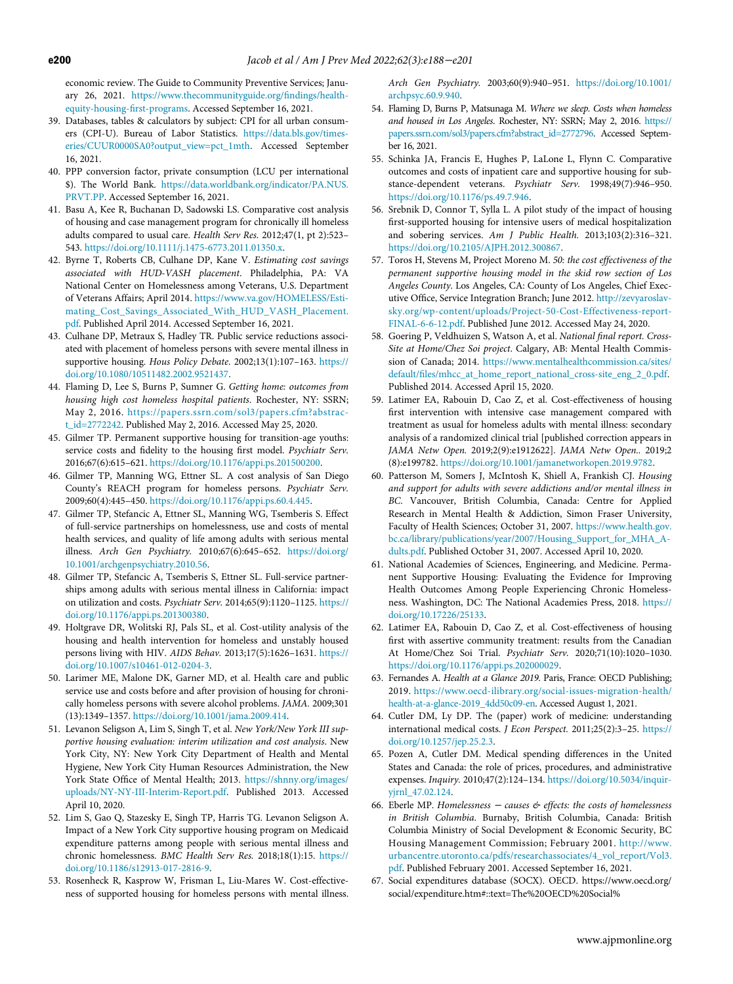<span id="page-12-33"></span><span id="page-12-32"></span>economic review. The Guide to Community Preventive Services; January 26, 2021. [https://www.thecommunityguide.org/](https://www.thecommunityguide.org/findings/health-equity-housing-first-programs)findings/health[equity-housing-](https://www.thecommunityguide.org/findings/health-equity-housing-first-programs)first-programs. Accessed September 16, 2021.

- <span id="page-12-12"></span><span id="page-12-0"></span>39. Databases, tables & calculators by subject: CPI for all urban consumers (CPI-U). Bureau of Labor Statistics. [https://data.bls.gov/times](https://data.bls.gov/timeseries/CUUR0000SA0?output_view=pct_1mth)[eries/CUUR0000SA0?output\\_view=pct\\_1mth.](https://data.bls.gov/timeseries/CUUR0000SA0?output_view=pct_1mth) Accessed September 16, 2021.
- <span id="page-12-19"></span><span id="page-12-1"></span>40. PPP conversion factor, private consumption (LCU per international \$). The World Bank. [https://data.worldbank.org/indicator/PA.NUS.](https://data.worldbank.org/indicator/PA.NUS.PRVT.PP) [PRVT.PP.](https://data.worldbank.org/indicator/PA.NUS.PRVT.PP) Accessed September 16, 2021.
- <span id="page-12-10"></span><span id="page-12-2"></span>41. Basu A, Kee R, Buchanan D, Sadowski LS. Comparative cost analysis of housing and case management program for chronically ill homeless adults compared to usual care. Health Serv Res. 2012;47(1, pt 2):523– 543. [https://doi.org/10.1111/j.1475-6773.2011.01350.x.](https://doi.org/10.1111/j.1475-6773.2011.01350.x)
- <span id="page-12-18"></span><span id="page-12-16"></span>42. Byrne T, Roberts CB, Culhane DP, Kane V. Estimating cost savings associated with HUD-VASH placement. Philadelphia, PA: VA National Center on Homelessness among Veterans, U.S. Department of Veterans Affairs; April 2014. [https://www.va.gov/HOMELESS/Esti](https://www.va.gov/HOMELESS/Estimating_Cost_Savings_Associated_With_HUD_VASH_Placement.pdf)[mating\\_Cost\\_Savings\\_Associated\\_With\\_HUD\\_VASH\\_Placement.](https://www.va.gov/HOMELESS/Estimating_Cost_Savings_Associated_With_HUD_VASH_Placement.pdf) [pdf](https://www.va.gov/HOMELESS/Estimating_Cost_Savings_Associated_With_HUD_VASH_Placement.pdf). Published April 2014. Accessed September 16, 2021.
- <span id="page-12-6"></span><span id="page-12-3"></span>43. Culhane DP, Metraux S, Hadley TR. Public service reductions associated with placement of homeless persons with severe mental illness in supportive housing. Hous Policy Debate. 2002;13(1):107-163. [https://](https://doi.org/10.1080/10511482.2002.9521437) [doi.org/10.1080/10511482.2002.9521437.](https://doi.org/10.1080/10511482.2002.9521437)
- <span id="page-12-13"></span><span id="page-12-7"></span>44. Flaming D, Lee S, Burns P, Sumner G. Getting home: outcomes from housing high cost homeless hospital patients. Rochester, NY: SSRN; May 2, 2016. [https://papers.ssrn.com/sol3/papers.cfm?abstrac](https://papers.ssrn.com/sol3/papers.cfm?abstract_id=2772242)[t\\_id=2772242](https://papers.ssrn.com/sol3/papers.cfm?abstract_id=2772242). Published May 2, 2016. Accessed May 25, 2020.
- <span id="page-12-21"></span>45. Gilmer TP. Permanent supportive housing for transition-age youths: service costs and fidelity to the housing first model. Psychiatr Serv. 2016;67(6):615–621. [https://doi.org/10.1176/appi.ps.201500200.](https://doi.org/10.1176/appi.ps.201500200)
- <span id="page-12-14"></span><span id="page-12-5"></span>46. Gilmer TP, Manning WG, Ettner SL. A cost analysis of San Diego County's REACH program for homeless persons. Psychiatr Serv. 2009;60(4):445–450. [https://doi.org/10.1176/appi.ps.60.4.445.](https://doi.org/10.1176/appi.ps.60.4.445)
- <span id="page-12-15"></span>47. Gilmer TP, Stefancic A, Ettner SL, Manning WG, Tsemberis S. Effect of full-service partnerships on homelessness, use and costs of mental health services, and quality of life among adults with serious mental illness. Arch Gen Psychiatry. 2010;67(6):645–652. [https://doi.org/](https://doi.org/10.1001/archgenpsychiatry.2010.56) [10.1001/archgenpsychiatry.2010.56.](https://doi.org/10.1001/archgenpsychiatry.2010.56)
- <span id="page-12-41"></span><span id="page-12-20"></span>48. Gilmer TP, Stefancic A, Tsemberis S, Ettner SL. Full-service partnerships among adults with serious mental illness in California: impact on utilization and costs. Psychiatr Serv. 2014;65(9):1120–1125. [https://](https://doi.org/10.1176/appi.ps.201300380) [doi.org/10.1176/appi.ps.201300380.](https://doi.org/10.1176/appi.ps.201300380)
- <span id="page-12-42"></span><span id="page-12-4"></span>49. Holtgrave DR, Wolitski RJ, Pals SL, et al. Cost-utility analysis of the housing and health intervention for homeless and unstably housed persons living with HIV. AIDS Behav. 2013;17(5):1626–1631. [https://](https://doi.org/10.1007/s10461-012-0204-3) [doi.org/10.1007/s10461-012-0204-3.](https://doi.org/10.1007/s10461-012-0204-3)
- <span id="page-12-43"></span><span id="page-12-8"></span>50. Larimer ME, Malone DK, Garner MD, et al. Health care and public service use and costs before and after provision of housing for chronically homeless persons with severe alcohol problems. JAMA. 2009;301 (13):1349–1357. [https://doi.org/10.1001/jama.2009.414.](https://doi.org/10.1001/jama.2009.414)
- <span id="page-12-45"></span><span id="page-12-44"></span><span id="page-12-17"></span>51. Levanon Seligson A, Lim S, Singh T, et al. New York/New York III supportive housing evaluation: interim utilization and cost analysis. New York City, NY: New York City Department of Health and Mental Hygiene, New York City Human Resources Administration, the New York State Office of Mental Health; 2013. [https://shnny.org/images/](https://shnny.org/images/uploads/NY-NY-III-Interim-Report.pdf) [uploads/NY-NY-III-Interim-Report.pdf](https://shnny.org/images/uploads/NY-NY-III-Interim-Report.pdf). Published 2013. Accessed April 10, 2020.
- <span id="page-12-46"></span><span id="page-12-11"></span>52. Lim S, Gao Q, Stazesky E, Singh TP, Harris TG. Levanon Seligson A. Impact of a New York City supportive housing program on Medicaid expenditure patterns among people with serious mental illness and chronic homelessness. BMC Health Serv Res. 2018;18(1):15. [https://](https://doi.org/10.1186/s12913-017-2816-9) [doi.org/10.1186/s12913-017-2816-9.](https://doi.org/10.1186/s12913-017-2816-9)
- <span id="page-12-47"></span><span id="page-12-9"></span>53. Rosenheck R, Kasprow W, Frisman L, Liu-Mares W. Cost-effectiveness of supported housing for homeless persons with mental illness.

<span id="page-12-40"></span><span id="page-12-39"></span><span id="page-12-38"></span><span id="page-12-37"></span><span id="page-12-36"></span><span id="page-12-35"></span><span id="page-12-34"></span><span id="page-12-31"></span><span id="page-12-30"></span><span id="page-12-29"></span><span id="page-12-28"></span><span id="page-12-27"></span><span id="page-12-26"></span><span id="page-12-25"></span><span id="page-12-24"></span><span id="page-12-23"></span><span id="page-12-22"></span>Arch Gen Psychiatry. 2003;60(9):940–951. [https://doi.org/10.1001/](https://doi.org/10.1001/archpsyc.60.9.940) [archpsyc.60.9.940.](https://doi.org/10.1001/archpsyc.60.9.940)

- 54. Flaming D, Burns P, Matsunaga M. Where we sleep. Costs when homeless and housed in Los Angeles. Rochester, NY: SSRN; May 2, 2016. [https://](https://papers.ssrn.com/sol3/papers.cfm?abstract_id=2772796) [papers.ssrn.com/sol3/papers.cfm?abstract\\_id=2772796.](https://papers.ssrn.com/sol3/papers.cfm?abstract_id=2772796) Accessed September 16, 2021.
- 55. Schinka JA, Francis E, Hughes P, LaLone L, Flynn C. Comparative outcomes and costs of inpatient care and supportive housing for substance-dependent veterans. Psychiatr Serv. 1998;49(7):946–950. [https://doi.org/10.1176/ps.49.7.946.](https://doi.org/10.1176/ps.49.7.946)
- 56. Srebnik D, Connor T, Sylla L. A pilot study of the impact of housing first-supported housing for intensive users of medical hospitalization and sobering services. Am J Public Health. 2013;103(2):316–321. [https://doi.org/10.2105/AJPH.2012.300867.](https://doi.org/10.2105/AJPH.2012.300867)
- 57. Toros H, Stevens M, Project Moreno M. 50: the cost effectiveness of the permanent supportive housing model in the skid row section of Los Angeles County. Los Angeles, CA: County of Los Angeles, Chief Executive Office, Service Integration Branch; June 2012. [http://zevyaroslav](http://zevyaroslavsky.org/wp-content/uploads/Project-50-Cost-Effectiveness-report-FINAL-6-6-12.pdf)[sky.org/wp-content/uploads/Project-50-Cost-Effectiveness-report-](http://zevyaroslavsky.org/wp-content/uploads/Project-50-Cost-Effectiveness-report-FINAL-6-6-12.pdf)[FINAL-6-6-12.pdf.](http://zevyaroslavsky.org/wp-content/uploads/Project-50-Cost-Effectiveness-report-FINAL-6-6-12.pdf) Published June 2012. Accessed May 24, 2020.
- 58. Goering P, Veldhuizen S, Watson A, et al. National final report. Cross-Site at Home/Chez Soi project. Calgary, AB: Mental Health Commission of Canada; 2014. [https://www.mentalhealthcommission.ca/sites/](https://www.mentalhealthcommission.ca/sites/default/files/mhcc_at_home_report_national_cross-site_eng_2_0.pdf) default/fi[les/mhcc\\_at\\_home\\_report\\_national\\_cross-site\\_eng\\_2\\_0.pdf.](https://www.mentalhealthcommission.ca/sites/default/files/mhcc_at_home_report_national_cross-site_eng_2_0.pdf) Published 2014. Accessed April 15, 2020.
- 59. Latimer EA, Rabouin D, Cao Z, et al. Cost-effectiveness of housing first intervention with intensive case management compared with treatment as usual for homeless adults with mental illness: secondary analysis of a randomized clinical trial [published correction appears in JAMA Netw Open. 2019;2(9):e1912622]. JAMA Netw Open.. 2019;2 (8):e199782. [https://doi.org/10.1001/jamanetworkopen.2019.9782.](https://doi.org/10.1001/jamanetworkopen.2019.9782)
- 60. Patterson M, Somers J, McIntosh K, Shiell A, Frankish CJ. Housing and support for adults with severe addictions and/or mental illness in BC. Vancouver, British Columbia, Canada: Centre for Applied Research in Mental Health & Addiction, Simon Fraser University, Faculty of Health Sciences; October 31, 2007. [https://www.health.gov.](https://www.health.gov.bc.ca/library/publications/year/2007/Housing_Support_for_MHA_Adults.pdf) [bc.ca/library/publications/year/2007/Housing\\_Support\\_for\\_MHA\\_A](https://www.health.gov.bc.ca/library/publications/year/2007/Housing_Support_for_MHA_Adults.pdf)[dults.pdf](https://www.health.gov.bc.ca/library/publications/year/2007/Housing_Support_for_MHA_Adults.pdf). Published October 31, 2007. Accessed April 10, 2020.
- 61. National Academies of Sciences, Engineering, and Medicine. Permanent Supportive Housing: Evaluating the Evidence for Improving Health Outcomes Among People Experiencing Chronic Homelessness. Washington, DC: The National Academies Press, 2018. [https://](https://doi.org/10.17226/25133) [doi.org/10.17226/25133.](https://doi.org/10.17226/25133)
- 62. Latimer EA, Rabouin D, Cao Z, et al. Cost-effectiveness of housing first with assertive community treatment: results from the Canadian At Home/Chez Soi Trial. Psychiatr Serv. 2020;71(10):1020–1030. [https://doi.org/10.1176/appi.ps.202000029.](https://doi.org/10.1176/appi.ps.202000029)
- 63. Fernandes A. Health at a Glance 2019. Paris, France: OECD Publishing; 2019. [https://www.oecd-ilibrary.org/social-issues-migration-health/](https://www.oecd-ilibrary.org/social-issues-migration-health/health-at-a-glance-2019_4dd50c09-en) [health-at-a-glance-2019\\_4dd50c09-en.](https://www.oecd-ilibrary.org/social-issues-migration-health/health-at-a-glance-2019_4dd50c09-en) Accessed August 1, 2021.
- 64. Cutler DM, Ly DP. The (paper) work of medicine: understanding international medical costs. J Econ Perspect. 2011;25(2):3–25. [https://](https://doi.org/10.1257/jep.25.2.3) [doi.org/10.1257/jep.25.2.3.](https://doi.org/10.1257/jep.25.2.3)
- 65. Pozen A, Cutler DM. Medical spending differences in the United States and Canada: the role of prices, procedures, and administrative expenses. Inquiry. 2010;47(2):124–134. [https://doi.org/10.5034/inquir](https://doi.org/10.5034/inquiryjrnl_47.02.124)[yjrnl\\_47.02.124.](https://doi.org/10.5034/inquiryjrnl_47.02.124)
- 66. Eberle MP. Homelessness <sup>−</sup> causes & effects: the costs of homelessness in British Columbia. Burnaby, British Columbia, Canada: British Columbia Ministry of Social Development & Economic Security, BC Housing Management Commission; February 2001. [http://www.](http://www.urbancentre.utoronto.ca/pdfs/researchassociates/4_vol_report/Vol3.pdf) [urbancentre.utoronto.ca/pdfs/researchassociates/4\\_vol\\_report/Vol3.](http://www.urbancentre.utoronto.ca/pdfs/researchassociates/4_vol_report/Vol3.pdf) [pdf](http://www.urbancentre.utoronto.ca/pdfs/researchassociates/4_vol_report/Vol3.pdf). Published February 2001. Accessed September 16, 2021.
- 67. Social expenditures database (SOCX). OECD. https://www.oecd.org/ social/expenditure.htm#::text=The%20OECD%20Social%